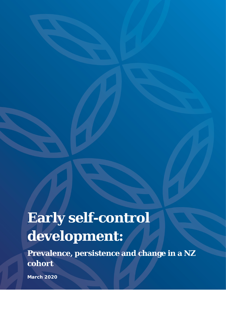# **Early self-control development:**

**Prevalence, persistence and change in a NZ cohort**

**March 2020**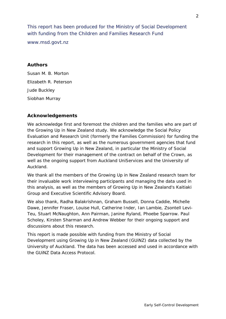This report has been produced for the Ministry of Social Development with funding from the Children and Families Research Fund

www.msd.govt.nz

#### **Authors**

Susan M. B. Morton Elizabeth R. Peterson Jude Buckley Siobhan Murray

#### **Acknowledgements**

We acknowledge first and foremost the children and the families who are part of the *Growing Up in New Zealand* study. We acknowledge the Social Policy Evaluation and Research Unit (formerly the Families Commission) for funding the research in this report, as well as the numerous government agencies that fund and support *Growing Up in New Zealand*, in particular the Ministry of Social Development for their management of the contract on behalf of the Crown, as well as the ongoing support from Auckland UniServices and the University of Auckland.

We thank all the members of the *Growing Up in New Zealand* research team for their invaluable work interviewing participants and managing the data used in this analysis, as well as the members of *Growing Up in New Zealand's* Kaitiaki Group and Executive Scientific Advisory Board.

We also thank, Radha Balakrishnan, Graham Bussell, Donna Caddie, Michelle Dawe, Jennifer Fraser, Louise Hull, Catherine Inder, Ian Lambie, Zsontell Levi-Teu, Stuart McNaughton, Ann Pairman, Janine Ryland, Phoebe Sparrow. Paul Scholey, Kirsten Sharman and Andrew Webber for their ongoing support and discussions about this research.

This report is made possible with funding from the Ministry of Social Development using *Growing Up in New Zealand* (GUiNZ) data collected by the University of Auckland. The data has been accessed and used in accordance with the GUiNZ Data Access Protocol.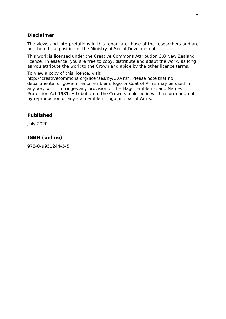#### **Disclaimer**

The views and interpretations in this report are those of the researchers and are not the official position of the Ministry of Social Development.

This work is licensed under the Creative Commons Attribution 3.0 New Zealand licence. In essence, you are free to copy, distribute and adapt the work, as long as you attribute the work to the Crown and abide by the other licence terms.

To view a copy of this licence, visit

http://creativecommons.org/licenses/by/3.0/nz/. Please note that no departmental or governmental emblem, logo or Coat of Arms may be used in any way which infringes any provision of the Flags, Emblems, and Names Protection Act 1981. Attribution to the Crown should be in written form and not by reproduction of any such emblem, logo or Coat of Arms.

#### **Published**

July 2020

#### **ISBN (online)**

978-0-9951244-5-5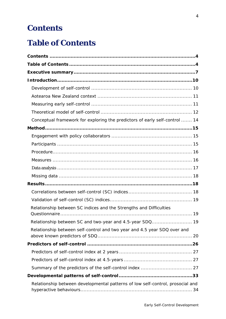# <span id="page-3-0"></span>**Contents**

# <span id="page-3-1"></span>**Table of Contents**

| Conceptual framework for exploring the predictors of early self-control  14    |    |
|--------------------------------------------------------------------------------|----|
|                                                                                |    |
|                                                                                |    |
|                                                                                |    |
|                                                                                |    |
|                                                                                |    |
|                                                                                |    |
|                                                                                |    |
|                                                                                |    |
|                                                                                |    |
|                                                                                |    |
| Relationship between SC indices and the Strengths and Difficulties             |    |
|                                                                                |    |
| Relationship between SC and two-year and 4.5-year SDQ                          | 19 |
| Relationship between self-control and two year and 4.5 year SDQ over and       |    |
|                                                                                |    |
|                                                                                |    |
|                                                                                |    |
|                                                                                |    |
|                                                                                |    |
| Relationship between developmental patterns of low self-control, prosocial and |    |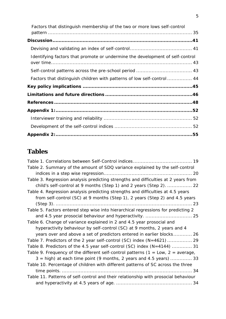| Factors that distinguish membership of the two or more lows self-control      |  |
|-------------------------------------------------------------------------------|--|
|                                                                               |  |
|                                                                               |  |
|                                                                               |  |
| Identifying factors that promote or undermine the development of self-control |  |
|                                                                               |  |
|                                                                               |  |
| Factors that distinguish children with patterns of low self-control  44       |  |
|                                                                               |  |
|                                                                               |  |
|                                                                               |  |
|                                                                               |  |
|                                                                               |  |
|                                                                               |  |
|                                                                               |  |

### **Tables**

| Table 2. Summary of the amount of SDQ variance explained by the self-control       |
|------------------------------------------------------------------------------------|
|                                                                                    |
| Table 3. Regression analysis predicting strengths and difficulties at 2 years from |
| child's self-control at 9 months (Step 1) and 2 years (Step 2).  22                |
| Table 4. Regression analysis predicting strengths and difficulties at 4.5 years    |
| from self-control (SC) at 9 months (Step 1), 2 years (Step 2) and 4.5 years        |
|                                                                                    |
| Table 5. Factors entered step wise into hierarchical regressions for predicting 2  |
| and 4.5 year prosocial behaviour and hyperactivity.  25                            |
| Table 6. Change of variance explained in 2 and 4.5 year prosocial and              |
| hyperactivity behaviour by self-control (SC) at 9 months, 2 years and 4            |
| years over and above a set of predictors entered in earlier blocks 26              |
| Table 7. Predictors of the 2 year self-control (SC) index (N=4621) 29              |
| Table 8. Predictors of the 4.5 year self-control (SC) index (N=4144)  31           |
| Table 9. Frequency of the different self-control patterns $(1 = Low, 2 = average,$ |
| $3 = high$ ) at each time point (9 months, 2 years and 4.5 years)  33              |
| Table 10. Percentage of children with different patterns of SC across the three    |
|                                                                                    |
| Table 11. Patterns of self-control and their relationship with prosocial behaviour |
|                                                                                    |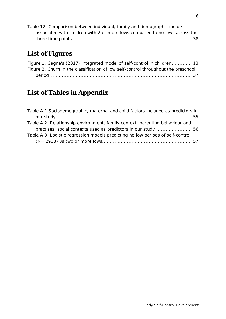| Table 12. Comparison between individual, family and demographic factors     |
|-----------------------------------------------------------------------------|
| associated with children with 2 or more lows compared to no lows across the |
|                                                                             |

# **List of Figures**

| Figure 1. Gagne's (2017) integrated model of self-control in children 13           |  |
|------------------------------------------------------------------------------------|--|
| Figure 2. Churn in the classification of low self-control throughout the preschool |  |
|                                                                                    |  |

# **List of Tables in Appendix**

| Table A 1 Sociodemographic, maternal and child factors included as predictors in |  |
|----------------------------------------------------------------------------------|--|
|                                                                                  |  |
| Table A 2. Relationship environment, family context, parenting behaviour and     |  |
| practises, social contexts used as predictors in our study  56                   |  |
| Table A 3. Logistic regression models predicting no low periods of self-control  |  |
|                                                                                  |  |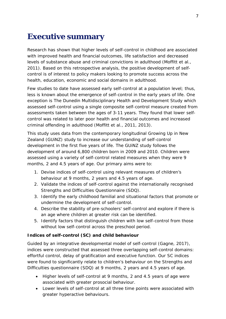### <span id="page-6-0"></span>**Executive summary**

Research has shown that higher levels of self-control in childhood are associated with improved health and financial outcomes, life satisfaction and decreased levels of substance abuse and criminal convictions in adulthood (Moffitt et al., 2011). Based on this retrospective analysis, the positive development of selfcontrol is of interest to policy makers looking to promote success across the health, education, economic and social domains in adulthood.

Few studies to date have assessed early self-control at a population level; thus, less is known about the emergence of self-control in the early years of life. One exception is *The Dunedin Multidisciplinary Health and Development Study* which assessed self-control using a single composite self-control measure created from assessments taken between the ages of 3-11 years. They found that lower selfcontrol was related to later poor health and financial outcomes and increased criminal offending in adulthood (Moffitt et al., 2011, 2013).

This study uses data from the contemporary longitudinal *Growing Up in New Zealand* (GUiNZ) study to increase our understanding of self-control development in the first five years of life. The GUiNZ study follows the development of around 6,800 children born in 2009 and 2010. Children were assessed using a variety of self-control related measures when they were 9 months, 2 and 4.5 years of age. Our primary aims were to:

- 1. Devise indices of self-control using relevant measures of children's behaviour at 9 months, 2 years and 4.5 years of age.
- 2. Validate the indices of self-control against the internationally recognised *Strengths and Difficulties Questionnaire* (SDQ).
- 3. Identify the early childhood familial and situational factors that promote or undermine the development of self-control.
- 4. Describe the stability of pre-schoolers' self-control and explore if there is an age where children at greater risk can be identified.
- 5. Identify factors that distinguish children with low self-control from those without low self-control across the preschool period.

#### **Indices of self-control (SC) and child behaviour**

Guided by an integrative developmental model of self-control (Gagne, 2017), indices were constructed that assessed three overlapping self-control domains: effortful control, delay of gratification and executive function. Our SC indices were found to significantly relate to children's behaviour on the *Strengths and Difficulties questionnaire* (SDQ) at 9 months, 2 years and 4.5 years of age.

- Higher levels of self-control at 9 months, 2 and 4.5 years of age were associated with greater prosocial behaviour.
- Lower levels of self-control at all three time points were associated with greater hyperactive behaviours.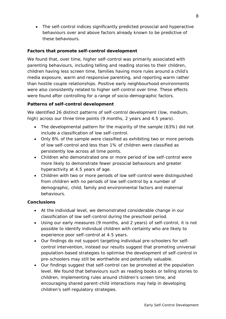• The self-control indices significantly predicted prosocial and hyperactive behaviours over and above factors already known to be predictive of these behaviours.

#### **Factors that promote self-control development**

We found that, over time, higher self-control was primarily associated with parenting behaviours, including telling and reading stories to their children, children having less screen time, families having more rules around a child's media exposure, warm and responsive parenting, and reporting warm rather than hostile couple relationships. Positive early neighbourhood environments were also consistently related to higher self-control over time. These effects were found after controlling for a range of socio-demographic factors.

#### **Patterns of self-control development**

We identified 26 distinct patterns of self-control development (low, medium, high) across our three time points (9 months, 2 years and 4.5 years).

- The developmental pattern for the majority of the sample (63%) did not include a classification of low self-control.
- Only 8% of the sample were classified as exhibiting two or more periods of low self-control and less than 1% of children were classified as persistently low across all time points.
- Children who demonstrated one or more period of low self-control were more likely to demonstrate fewer prosocial behaviours and greater hyperactivity at 4.5 years of age.
- Children with two or more periods of low self-control were distinguished from children with no periods of low self-control by a number of demographic, child, family and environmental factors and maternal behaviours.

#### **Conclusions**

- At the individual level, we demonstrated considerable change in our classification of low self-control during the preschool period.
- Using our early measures (9 months, and 2 years) of self-control, it is not possible to identify individual children with certainty who are likely to experience poor self-control at 4.5 years.
- Our findings do not support targeting individual pre-schoolers for selfcontrol intervention, instead our results suggest that promoting universal population-based strategies to optimise the development of self-control in pre-schoolers may still be worthwhile and potentially valuable.
- Our findings suggest that self-control can be promoted at the population level. We found that behaviours such as reading books or telling stories to children, implementing rules around children's screen time, and encouraging shared parent-child interactions may help in developing children's self-regulatory strategies.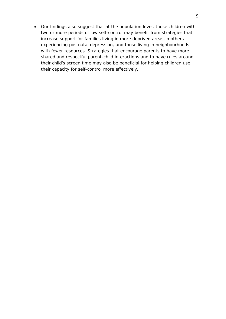• Our findings also suggest that at the population level, those children with two or more periods of low self-control may benefit from strategies that increase support for families living in more deprived areas, mothers experiencing postnatal depression, and those living in neighbourhoods with fewer resources. Strategies that encourage parents to have more shared and respectful parent-child interactions and to have rules around their child's screen time may also be beneficial for helping children use their capacity for self-control more effectively.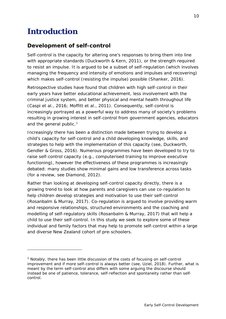# <span id="page-9-0"></span>**Introduction**

### <span id="page-9-1"></span>**Development of self-control**

Self-control is the capacity for altering one's responses to bring them into line with appropriate standards (Duckworth & Kern, 2011), or the strength required to resist an impulse. It is argued to be a subset of self-regulation (which involves managing the frequency and intensity of emotions and impulses and recovering) which makes self-control (resisting the impulse) possible (Shanker, 2016).

Retrospective studies have found that children with high self-control in their early years have better educational achievement, less involvement with the criminal justice system, and better physical and mental health throughout life (Caspi et al., 2016; Moffitt et al., 2011). Consequently, self-control is increasingly portrayed as a powerful way to address many of society's problems resulting in growing interest in self-control from government agencies, educators and the general public. $<sup>1</sup>$  $<sup>1</sup>$  $<sup>1</sup>$ </sup>

Increasingly there has been a distinction made between trying to develop a child's capacity for self-control and a child developing knowledge, skills, and strategies to help with the implementation of this capacity (see, Duckworth, Gendler & Gross, 2016). Numerous programmes have been developed to try to raise self-control capacity (e.g., computerised training to improve executive functioning), however the effectiveness of these programmes is increasingly debated: many studies show minimal gains and low transference across tasks (for a review, see Diamond, 2012).

Rather than looking at developing self-control capacity directly, there is a growing trend to look at how parents and caregivers can use co-regulation to help children develop strategies and motivation to use their self-control (Rosanbalm & Murray, 2017). Co-regulation is argued to involve providing warm and responsive relationships, structured environments and the coaching and modelling of self-regulatory skills (Rosanbalm & Murray, 2017) that will help a child to use their self-control. In this study we seek to explore some of these individual and family factors that may help to promote self-control within a large and diverse New Zealand cohort of pre-schoolers.

<span id="page-9-2"></span><sup>1</sup> Notably, there has been little discussion of the costs of focusing on self-control improvement and if more self-control is always better (see, Uziel, 2018). Further, what is meant by the term *self-control* also differs with some arguing the discourse should instead be one of patience, tolerance, self-reflection and spontaneity rather than selfcontrol.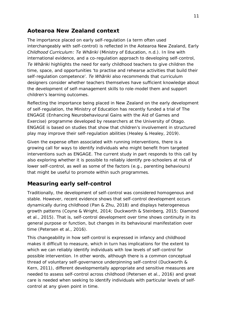### <span id="page-10-0"></span>**Aotearoa New Zealand context**

The importance placed on early self-regulation (a term often used interchangeably with self-control) is reflected in the *Aotearoa New Zealand, Early Childhood Curriculum: Te Whāriki* (Ministry of Education, n.d.). In line with international evidence, and a co-regulation approach to developing self-control, *Te Whāriki* highlights the need for early childhood teachers to give children the time, space, and opportunities 'to practise and rehearse activities that build their self-regulation competence'. *Te Whāriki* also recommends that curriculum designers consider whether teachers themselves have sufficient knowledge about the development of self-management skills to role-model them and support children's learning outcomes.

Reflecting the importance being placed in New Zealand on the early development of self-regulation, the Ministry of Education has recently funded a trial of The ENGAGE (Enhancing Neurobehavioural Gains with the Aid of Games and Exercise) programme developed by researchers at the University of Otago. ENGAGE is based on studies that show that children's involvement in structured play may improve their self-regulation abilities (Healey & Healey, 2019).

Given the expense often associated with running interventions, there is a growing call for ways to identify individuals who might benefit from targeted interventions such as ENGAGE. The current study in part responds to this call by also exploring whether it is possible to reliably identify pre-schoolers at risk of lower self-control, as well as some of the factors (e.g., parenting behaviours) that might be useful to promote within such programmes.

### <span id="page-10-1"></span>**Measuring early self-control**

Traditionally, the development of self-control was considered homogenous and stable. However, recent evidence shows that self-control development occurs dynamically during childhood (Pan & Zhu, 2018) and displays heterogeneous growth patterns (Coyne & Wright, 2014; Duckworth & Steinberg, 2015; Diamond et al., 2015). That is, self-control development over time shows continuity in its general purpose or function, but changes in its behavioural manifestation over time (Petersen et al., 2016).

This changeability in how self-control is expressed in infancy and childhood makes it difficult to measure, which in turn has implications for the extent to which we can reliably identify individuals with low levels of self-control for possible intervention. In other words, although there is a common conceptual thread of voluntary self-governance underpinning self-control (Duckworth & Kern, 2011), different developmentally appropriate and sensitive measures are needed to assess self-control across childhood (Petersen et al., 2016) and great care is needed when seeking to identify individuals with particular levels of selfcontrol at any given point in time.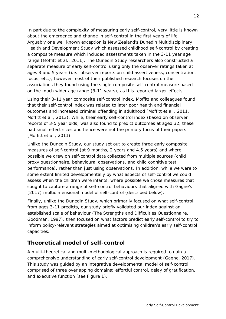In part due to the complexity of measuring early self-control, very little is known about the emergence and change in self-control in the first years of life. Arguably one well known exception is New Zealand's *Dunedin Multidisciplinary Health and Development Study* which assessed childhood self-control by creating a composite measure which included assessments taken in the 3-11 year age range (Moffitt et al., 2011). The *Dunedin Study* researchers also constructed a separate measure of *early* self-control using *only* the observer ratings taken at ages 3 and 5 years (i.e., observer reports on child assertiveness, concentration, focus, etc.), however most of their published research focuses on the associations they found using the single composite self-control measure based on the much wider age range (3-11 years), as this reported larger effects.

Using their 3-11 year composite self-control index, Moffitt and colleagues found that their self-control index was related to later poor health and financial outcomes and increased criminal offending in adulthood (Moffitt et al., 2011, Moffitt et al., 2013). While, their *early* self-control index (based on observer reports of 3-5 year olds) was also found to predict outcomes at aged 32, these had small effect sizes and hence were not the primary focus of their papers (Moffitt et al., 2011).

Unlike the *Dunedin Study*, our study set out to create three early composite measures of self-control (at 9 months, 2 years and 4.5 years) and where possible we drew on self-control data collected from multiple sources (child proxy questionnaire, behavioural observations, and child cognitive test performance), rather than just using observations. In addition, while we were to some extent limited developmentally by what aspects of self-control we could assess when the children were infants, where possible we chose measures that sought to capture a range of self-control behaviours that aligned with Gagne's (2017) multidimensional model of self-control (described below).

Finally, unlike the *Dunedin Study*, which primarily focused on what self-control from ages 3-11 predicts, our study briefly validated our index against an established scale of behaviour (The *Strengths and Difficulties Questionnaire*, Goodman, 1997), then focused on what factors predict early self-control to try to inform policy-relevant strategies aimed at optimising children's early self-control capacities.

### <span id="page-11-0"></span>**Theoretical model of self-control**

A multi-theoretical and multi-methodological approach is required to gain a comprehensive understanding of early self-control development (Gagne, 2017). This study was guided by an integrative developmental model of self-control comprised of three overlapping domains: effortful control, delay of gratification, and executive function (see Figure 1).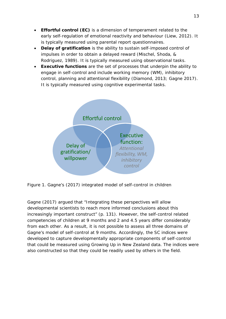- **Effortful control (EC)** is a dimension of temperament related to the early self-regulation of emotional reactivity and behaviour (Liew, 2012). It is typically measured using parental report questionnaires.
- **Delay of gratification** is the ability to sustain self-imposed control of impulses in order to obtain a delayed reward (Mischel, Shoda, & Rodriguez, 1989). It is typically measured using observational tasks.
- **Executive functions** are the set of processes that underpin the ability to engage in self-control and include working memory (WM), inhibitory control, planning and attentional flexibility (Diamond, 2013; Gagne 2017). It is typically measured using cognitive experimental tasks.



<span id="page-12-0"></span>Figure 1. Gagne's (2017) integrated model of self-control in children

Gagne (2017) argued that "Integrating these perspectives will allow developmental scientists to reach more informed conclusions about this increasingly important construct" (p. 131). However, the self-control related competencies of children at 9 months and 2 and 4.5 years differ considerably from each other. As a result, it is not possible to assess all three domains of Gagne's model of self-control at 9 months. Accordingly, the SC indices were developed to capture developmentally appropriate components of self-control that could be measured using Growing Up in New Zealand data. The indices were also constructed so that they could be readily used by others in the field.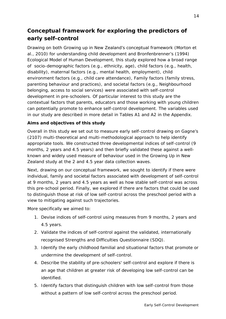### <span id="page-13-0"></span>**Conceptual framework for exploring the predictors of early self-control**

Drawing on both *Growing up in New Zealand's* conceptual framework (Morton et al., 2010) for understanding child development and Bronfenbrenner's (1994) *Ecological Model of Human Development*, this study explored how a broad range of socio-demographic factors (e.g., ethnicity, age), child factors (e.g., health, disability), maternal factors (e.g., mental health, employment), child environment factors (e.g., child care attendance), Family factors (family stress, parenting behaviour and practices), and societal factors (e.g., Neighbourhood belonging, access to social services) were associated with self-control development in pre-schoolers. Of particular interest to this study are the contextual factors that parents, educators and those working with young children can potentially promote to enhance self-control development. The variables used in our study are described in more detail in Tables A1 and A2 in the Appendix.

#### **Aims and objectives of this study**

Overall in this study we set out to measure early self-control drawing on Gagne's (2107) multi-theoretical and multi-methodological approach to help identify appropriate tools. We constructed three developmental indices of self-control (9 months, 2 years and 4.5 years) and then briefly validated these against a wellknown and widely used measure of behaviour used in the *Growing Up in New Zealand* study at the 2 and 4.5 year data collection waves.

Next, drawing on our conceptual framework, we sought to identify if there were individual, family and societal factors associated with development of self-control at 9 months, 2 years and 4.5 years as well as how stable self-control was across this pre-school period. Finally, we explored if there are factors that could be used to distinguish those at risk of low self-control across the preschool period with a view to mitigating against such trajectories.

More specifically we aimed to:

- 1. Devise indices of self-control using measures from 9 months, 2 years and 4.5 years.
- 2. Validate the indices of self-control against the validated, internationally recognised *Strengths and Difficulties Questionnaire* (SDQ).
- 3. Identify the early childhood familial and situational factors that promote or undermine the development of self-control.
- 4. Describe the stability of pre-schoolers' self-control and explore if there is an age that children at greater risk of developing low self-control can be identified.
- 5. Identify factors that distinguish children with low self-control from those without a pattern of low self-control across the preschool period.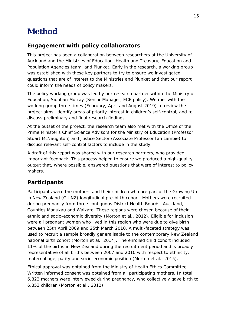# <span id="page-14-0"></span>**Method**

### <span id="page-14-1"></span>**Engagement with policy collaborators**

This project has been a collaboration between researchers at the University of Auckland and the Ministries of Education, Health and Treasury, Education and Population Agencies team, and Plunket. Early in the research, a working group was established with these key partners to try to ensure we investigated questions that are of interest to the Ministries and Plunket and that our report could inform the needs of policy makers.

The policy working group was led by our research partner within the Ministry of Education, Siobhan Murray (Senior Manager, ECE policy). We met with the working group three times (February, April and August 2019) to review the project aims, identify areas of priority interest in children's self-control, and to discuss preliminary and final research findings.

At the outset of the project, the research team also met with the Office of the Prime Minister's Chief Science Advisors for the Ministry of Education (Professor Stuart McNaughton) and Justice Sector (Associate Professor Ian Lambie) to discuss relevant self-control factors to include in the study.

A draft of this report was shared with our research partners, who provided important feedback. This process helped to ensure we produced a high-quality output that, where possible, answered questions that were of interest to policy makers.

### <span id="page-14-2"></span>**Participants**

Participants were the mothers and their children who are part of the *Growing Up in New Zealand* (GUiNZ) longitudinal pre-birth cohort. Mothers were recruited during pregnancy from three contiguous District Health Boards: Auckland, Counties Manukau and Waikato. These regions were chosen because of their ethnic and socio-economic diversity (Morton et al., 2012). Eligible for inclusion were all pregnant women who lived in this region who were due to give birth between 25th April 2009 and 25th March 2010. A multi-faceted strategy was used to recruit a sample broadly generalisable to the contemporary New Zealand national birth cohort (Morton et al., 2014). The enrolled child cohort included 11% of the births in New Zealand during the recruitment period and is broadly representative of all births between 2007 and 2010 with respect to ethnicity, maternal age, parity and socio-economic position (Morton et al., 2015).

Ethical approval was obtained from the Ministry of Health Ethics Committee. Written informed consent was obtained from all participating mothers. In total, 6,822 mothers were interviewed during pregnancy, who collectively gave birth to 6,853 children (Morton et al., 2012).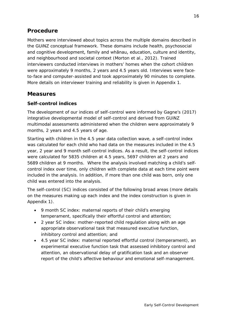### <span id="page-15-0"></span>**Procedure**

Mothers were interviewed about topics across the multiple domains described in the GUiNZ conceptual framework. These domains include health, psychosocial and cognitive development, family and whānau, education, culture and identity, and neighbourhood and societal context (Morton et al., 2012). Trained interviewers conducted interviews in mothers' homes when the cohort children were approximately 9 months, 2 years and 4.5 years old. Interviews were faceto-face and computer-assisted and took approximately 90 minutes to complete. More details on interviewer training and reliability is given in Appendix 1.

### <span id="page-15-1"></span>**Measures**

### **Self-control indices**

The development of our indices of self-control were informed by Gagne's (2017) integrative developmental model of self-control and derived from GUiNZ multimodal assessments administered when the children were approximately 9 months, 2 years and 4.5 years of age.

Starting with children in the 4.5 year data collection wave, a self-control index was calculated for each child who had data on the measures included in the 4.5 year, 2 year and 9 month self-control indices. As a result, the self-control indices were calculated for 5835 children at 4.5 years, 5697 children at 2 years and 5689 children at 9 months. Where the analysis involved matching a child's selfcontrol index over time, only children with complete data at each time point were included in the analysis. In addition, if more than one child was born, only one child was entered into the analysis.

The self-control (SC) indices consisted of the following broad areas (more details on the measures making up each index and the index construction is given in Appendix 1).

- 9 month SC index: maternal reports of their child's emerging temperament, specifically their effortful control and attention;
- 2 year SC index: mother-reported child regulation along with an age appropriate observational task that measured executive function, inhibitory control and attention; and
- 4.5 year SC index: maternal reported effortful control (temperament), an experimental executive function task that assessed inhibitory control and attention, an observational delay of gratification task and an observer report of the child's affective behaviour and emotional self-management.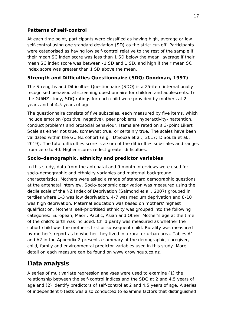### **Patterns of self-control**

At each time point, participants were classified as having high, average or low self-control using one standard deviation (SD) as the strict cut-off. Participants were categorised as having low self-control relative to the rest of the sample if their mean SC index score was less than 1 SD below the mean, average if their mean SC index score was between -1 SD and 1 SD, and high if their mean SC index score was greater than 1 SD above the mean.

### **Strength and Difficulties Questionnaire (SDQ; Goodman, 1997)**

The *Strengths and Difficulties Questionnaire* (SDQ) is a 25-item internationally recognised behavioural screening questionnaire for children and adolescents. In the GUiNZ study, SDQ ratings for each child were provided by mothers at 2 years and at 4.5 years of age.

The questionnaire consists of five subscales, each measured by five items, which include emotion (positive, negative), peer problems, hyperactivity-inattention, conduct problems and prosocial behaviour. Items are rated on a 3-point Likert Scale as either not true, somewhat true, or certainly true. The scales have been validated within the GUiNZ cohort (e.g. D'Souza et al., 2017; D'Souza et al., 2019). The total difficulties score is a sum of the difficulties subscales and ranges from zero to 40. Higher scores reflect greater difficulties.

#### **Socio-demographic, ethnicity and predictor variables**

In this study, data from the antenatal and 9 month interviews were used for socio-demographic and ethnicity variables and maternal background characteristics. Mothers were asked a range of standard demographic questions at the antenatal interview. Socio-economic deprivation was measured using the decile scale of the *NZ Index of Deprivation* (Salmond et al., 2007) grouped in tertiles where 1-3 was low deprivation, 4-7 was medium deprivation and 8-10 was high deprivation. Maternal education was based on mothers' highest qualification. Mothers' self-prioritised ethnicity was grouped into the following categories: European, Māori, Pacific, Asian and Other. Mother's age at the time of the child's birth was included. Child parity was measured as whether the cohort child was the mother's first or subsequent child. Rurality was measured by mother's report as to whether they lived in a rural or urban area. Tables A1 and A2 in the Appendix 2 present a summary of the demographic, caregiver, child, family and environmental predictor variables used in this study. More detail on each measure can be found on www.growingup.co.nz.

### <span id="page-16-0"></span>**Data analysis**

A series of multivariate regression analyses were used to examine (1) the relationship between the self-control indices and the SDQ at 2 and 4.5 years of age and (2) identify predictors of self-control at 2 and 4.5 years of age. A series of independent t-tests was also conducted to examine factors that distinguished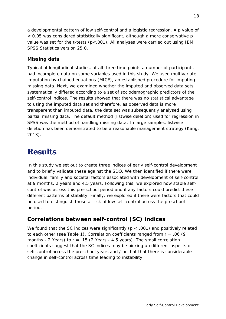a developmental pattern of low self-control and a logistic regression. A *p* value of < 0.05 was considered statistically significant, although a more conservative *p*  value was set for the t-tests (*p*<.001). All analyses were carried out using IBM SPSS Statistics version 25.0.

### <span id="page-17-0"></span>**Missing data**

Typical of longitudinal studies, at all three time points a number of participants had incomplete data on some variables used in this study. We used multivariate imputation by chained equations (MICE), an established procedure for imputing missing data. Next, we examined whether the imputed and observed data sets systematically differed according to a set of sociodemographic predictors of the self-control indices. The results showed that there was no statistical advantage to using the imputed data set and therefore, as observed data is more transparent than imputed data, the data set was subsequently analysed using partial missing data. The default method (listwise deletion) used for regression in SPSS was the method of handling missing data. In large samples, listwise deletion has been demonstrated to be a reasonable management strategy (Kang, 2013).

# <span id="page-17-1"></span>**Results**

In this study we set out to create three indices of early self-control development and to briefly validate these against the SDQ. We then identified if there were individual, family and societal factors associated with development of self-control at 9 months, 2 years and 4.5 years. Following this, we explored how stable selfcontrol was across this pre-school period and if any factors could predict these different patterns of stability. Finally, we explored if there were factors that could be used to distinguish those at risk of low self-control across the preschool period.

### <span id="page-17-2"></span>**Correlations between self-control (SC) indices**

We found that the SC indices were significantly ( $p < .001$ ) and positively related to each other (see Table 1). Correlation coefficients ranged from *r* = .06 (9 months - 2 Years) to *r* = .15 (2 Years - 4.5 years). The small correlation coefficients suggest that the SC indices may be picking up different aspects of self-control across the preschool years and / or that that there is considerable change in self-control across time leading to instability.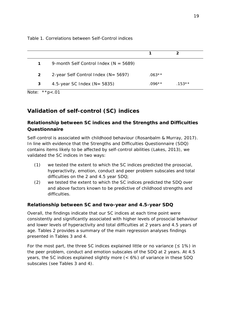<span id="page-18-3"></span>Table 1. Correlations between Self-Control indices

|   | 9-month Self Control Index ( $N = 5689$ ) |          |          |  |
|---|-------------------------------------------|----------|----------|--|
| 2 | 2-year Self Control Index (N= 5697)       | $.063**$ |          |  |
| 3 | 4.5-year SC Index ( $N = 5835$ )          | $.096**$ | $.153**$ |  |

*Note: \*\*p<.01*

### <span id="page-18-0"></span>**Validation of self-control (SC) indices**

### <span id="page-18-1"></span>**Relationship between SC indices and the Strengths and Difficulties Questionnaire**

Self-control is associated with childhood behaviour (Rosanbalm & Murray, 2017). In line with evidence that the Strengths and Difficulties Questionnaire (SDQ) contains items likely to be affected by self-control abilities (Lakes, 2013), we validated the SC indices in two ways:

- (1) we tested the extent to which the SC indices predicted the prosocial, hyperactivity, emotion, conduct and peer problem subscales and total difficulties on the 2 and 4.5 year SDQ;
- (2) we tested the extent to which the SC indices predicted the SDQ over and above factors known to be predictive of childhood strengths and difficulties.

### <span id="page-18-2"></span>**Relationship between SC and two-year and 4.5-year SDQ**

Overall, the findings indicate that our SC indices at each time point were consistently and significantly associated with higher levels of prosocial behaviour and lower levels of hyperactivity and total difficulties at 2 years and 4.5 years of age. Tables 2 provides a summary of the main regression analyses findings presented in Tables 3 and 4.

For the most part, the three SC indices explained little or no variance ( $\leq 1\%$ ) in the peer problem, conduct and emotion subscales of the SDQ at 2 years. At 4.5 years, the SC indices explained slightly more (< 6%) of variance in these SDQ subscales (see Tables 3 and 4).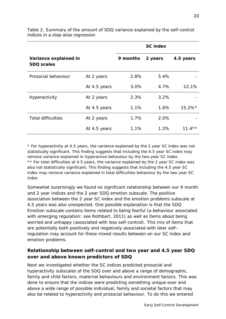|                                            |              |          | <b>SC index</b> |           |
|--------------------------------------------|--------------|----------|-----------------|-----------|
| Variance explained in<br><b>SDQ scales</b> |              | 9 months | 2 years         | 4.5 years |
| Prosocial behaviour                        | At 2 years   | 2.8%     | 5.4%            |           |
|                                            | At 4.5 years | $3.0\%$  | 4.7%            | 12.1%     |
| Hyperactivity                              | At 2 years   | 2.3%     | 3.2%            |           |
|                                            | At 4.5 years | 1.1%     | 1.6%            | $15.2\%*$ |
| <b>Total difficulties</b>                  | At 2 years   | 1.7%     | 2.0%            |           |
|                                            | At 4.5 years | 1.1%     | 1.2%            | $11.4***$ |

<span id="page-19-1"></span>Table 2. Summary of the amount of SDQ variance explained by the self-control indices in a step wise regression

\* For hyperactivity at 4.5 years, the variance explained by the 2 year SC index was not statistically significant. This finding suggests that including the 4.5 year SC index may remove variance explained in hyperactive behaviour by the two-year SC index. \*\* For total difficulties at 4.5 years, the variance explained by the 2 year SC index was also not statistically significant. This finding suggests that including the 4.5 year SC index may remove variance explained in total difficulties behaviour by the two year SC index

Somewhat surprisingly we found no significant relationship between our 9 month and 2 year indices and the 2 year SDQ emotion subscale. The positive association between the 2 year SC index and the emotion problems subscale at 4.5 years was also unexpected. One possible explanation is that the SDQ Emotion subscale contains items related to being fearful (a behaviour associated with emerging regulation: see Rothbart, 2011) as well as items about being worried and unhappy (associated with less self-control). This mix of items that are potentially both positively and negatively associated with later self– regulation may account for these mixed results between on our SC index and emotion problems.

### <span id="page-19-0"></span>**Relationship between self-control and two year and 4.5 year SDQ over and above known predictors of SDQ**

Next we investigated whether the SC indices predicted prosocial and hyperactivity subscales of the SDQ over and above a range of demographic, family and child factors, maternal behaviours and environment factors. This was done to ensure that the indices were predicting something unique over and above a wide range of possible individual, family and societal factors that may also be related to hyperactivity and prosocial behaviour. To do this we entered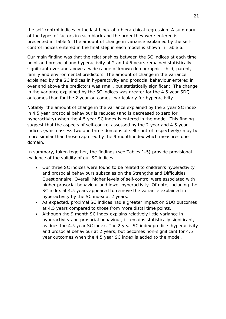the self-control indices in the last block of a hierarchical regression. A summary of the types of factors in each block and the order they were entered is presented in Table 5. The amount of change in variance explained by the selfcontrol indices entered in the final step in each model is shown in Table 6.

Our main finding was that the relationships between the SC indices at each time point and prosocial and hyperactivity at 2 and 4.5 years remained statistically significant over and above a wide range of known demographic, child, parent, family and environmental predictors. The amount of change in the variance explained by the SC indices in hyperactivity and prosocial behaviour entered in over and above the predictors was small, but statistically significant. The change in the variance explained by the SC indices was greater for the 4.5 year SDQ outcomes than for the 2 year outcomes, particularly for hyperactivity.

Notably, the amount of change in the variance explained by the 2 year SC index in 4.5 year prosocial behaviour is reduced (and is decreased to zero for hyperactivity) when the 4.5 year SC index is entered in the model. This finding suggest that the aspects of self-control assessed by the 2 year and 4.5 year indices (which assess two and three domains of self-control respectively) may be more similar than those captured by the 9 month index which measures one domain.

In summary, taken together, the findings (see Tables 1-5) provide provisional evidence of the validity of our SC indices.

- Our three SC indices were found to be related to children's hyperactivity and prosocial behaviours subscales on the Strengths and Difficulties Questionnaire. Overall, higher levels of self-control were associated with higher prosocial behaviour and lower hyperactivity. Of note, including the SC index at 4.5 years appeared to remove the variance explained in hyperactivity by the SC index at 2 years.
- As expected, proximal SC indices had a greater impact on SDQ outcomes at 4.5 years compared to those from more distal time points.
- Although the 9 month SC index explains relatively little variance in hyperactivity and prosocial behaviour, it remains statistically significant, as does the 4.5 year SC index. The 2 year SC index predicts hyperactivity and prosocial behaviour at 2 years, but becomes non-significant for 4.5 year outcomes when the 4.5 year SC index is added to the model.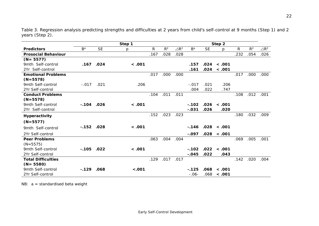Table 3. Regression analysis predicting strengths and difficulties at 2 years from child's self-control at 9 months (Step 1) and 2 years (Step 2).

|                            |              |           | Step 1  |               |       |                 |         |           | Step 2        |               |       |                 |
|----------------------------|--------------|-----------|---------|---------------|-------|-----------------|---------|-----------|---------------|---------------|-------|-----------------|
| <b>Predictors</b>          | $B^a$        | <b>SE</b> | р       | $\mathcal{R}$ | $R^2$ | $\triangle R^2$ | $B^a$   | <b>SE</b> | $\mathcal{D}$ | $\mathcal{R}$ | $R^2$ | $\triangle R^2$ |
| <b>Prosocial Behaviour</b> |              |           |         | .167          | .028  | .028            |         |           |               | .232          | .054  | .026            |
| $(N = 5577)$               |              |           |         |               |       |                 |         |           |               |               |       |                 |
| 9mth Self-control          | .167         | .024      | < .001  |               |       |                 | .157    | .024      | < .001        |               |       |                 |
| 2Yr Self-control           |              |           |         |               |       |                 | .161    | .024      | < .001        |               |       |                 |
| <b>Emotional Problems</b>  |              |           |         | .017          | .000  | .000            |         |           |               | .017          | .000  | .000            |
| $(N=5578)$                 |              |           |         |               |       |                 |         |           |               |               |       |                 |
| 9mth Self-control          | $-.017$      | .021      | .206    |               |       |                 | $-.017$ | .021      | .206          |               |       |                 |
| 2Yr Self-control           |              |           |         |               |       |                 | .004    | .022      | .747          |               |       |                 |
| <b>Conduct Problems</b>    |              |           |         | .104          | .011  | .011            |         |           |               | .108          | .012  | .001            |
| $(N=5578)$                 |              |           |         |               |       |                 |         |           |               |               |       |                 |
| 9mth Self-control          | -.104        | .026      | < .001  |               |       |                 | $-.102$ | .026      | < .001        |               |       |                 |
| 2Yr Self-control           |              |           |         |               |       |                 | $-.031$ | .026      | .020          |               |       |                 |
| Hyperactivity              |              |           |         | .152          | .023  | .023            |         |           |               | .180          | .032  | .009            |
| $(N=5577)$                 |              |           |         |               |       |                 |         |           |               |               |       |                 |
| 9mth Self-control          | $-.152$ .028 |           | < .001  |               |       |                 | $-.146$ | .028      | $\sim .001$   |               |       |                 |
| 2Yr Self-control           |              |           |         |               |       |                 | $-.097$ | .028      | < .001        |               |       |                 |
| <b>Peer Problems</b>       |              |           |         | .063          | .004  | .004            |         |           |               | .069          | .005  | .001            |
| $(N=5575)$                 |              |           |         |               |       |                 |         |           |               |               |       |                 |
| 9mth Self-control          | $-.105$      | .022      | < .001  |               |       |                 | $-.102$ | .022      | < .001        |               |       |                 |
| 2Yr Self-control           |              |           |         |               |       |                 | $-.045$ | .022      | .043          |               |       |                 |
| <b>Total Difficulties</b>  |              |           |         | .129          | .017  | .017            |         |           |               | .142          | .020  | .004            |
| $(N = 5580)$               |              |           |         |               |       |                 |         |           |               |               |       |                 |
| 9mth Self-control          | $-.129$      | .068      | $-.001$ |               |       |                 | $-.125$ | .068      | < .001        |               |       |                 |
| 2Yr Self-control           |              |           |         |               |       |                 | $-.06-$ | .068      | < .001        |               |       |                 |

<span id="page-21-0"></span>*NB: a = standardised beta weight*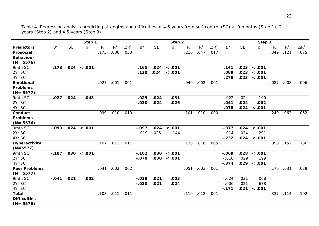<span id="page-22-0"></span>

|                      |         |           | Step 1        |                  |       |                 |         |           | Step 2        |      |       |                 |         |           | Step 3  |      |       |                 |
|----------------------|---------|-----------|---------------|------------------|-------|-----------------|---------|-----------|---------------|------|-------|-----------------|---------|-----------|---------|------|-------|-----------------|
| <b>Predictors</b>    | $B^a$   | <b>SE</b> | р             | $\boldsymbol{R}$ | $R^2$ | $\triangle R^2$ | $B^a$   | <b>SE</b> | $\mathcal{D}$ | R    | $R^2$ | $\triangle R^2$ | $B^a$   | <b>SE</b> | р       | R    | $R^2$ | $\triangle R^2$ |
| Prosocial            |         |           |               | .173             | .030  | .030            |         |           |               | .216 | .047  | .017            |         |           |         | .349 | .121  | .075            |
| <b>Behaviour</b>     |         |           |               |                  |       |                 |         |           |               |      |       |                 |         |           |         |      |       |                 |
| $(N = 5576)$         |         |           |               |                  |       |                 |         |           |               |      |       |                 |         |           |         |      |       |                 |
| 9mth SC              | .173    | .024      | < .001        |                  |       |                 | .165    | .024      | < .001        |      |       |                 | .141    | .023      | < .001  |      |       |                 |
| 2Yr SC               |         |           |               |                  |       |                 | .130    | .024      | < .001        |      |       |                 | .089    | .023      | < .001  |      |       |                 |
| 4Yr SC               |         |           |               |                  |       |                 |         |           |               |      |       |                 | .278    | .023      | < .001  |      |       |                 |
| Emotional            |         |           |               | .027             | .001  | .001            |         |           |               | .040 | .002  | .001            |         |           |         | .087 | .008  | .006            |
| <b>Problems</b>      |         |           |               |                  |       |                 |         |           |               |      |       |                 |         |           |         |      |       |                 |
| $(N = 5577)$         |         |           |               |                  |       |                 |         |           |               |      |       |                 |         |           |         |      |       |                 |
| 9mth SC              | $-.027$ | .024      | .043          |                  |       |                 | $-.029$ | .024      | .031          |      |       |                 | $-.022$ | .024      | .100    |      |       |                 |
| 2Yr SC               |         |           |               |                  |       |                 | .030    | .024      | .026          |      |       |                 | .041    | .024      | .002    |      |       |                 |
| 4Yr SC               |         |           |               |                  |       |                 |         |           |               |      |       |                 | $-.078$ | .024      | < .001  |      |       |                 |
| Conduct              |         |           |               | .099             | .010  | .010            |         |           |               | .101 | .010  | .000            |         |           |         | .249 | .062  | .052            |
| <b>Problems</b>      |         |           |               |                  |       |                 |         |           |               |      |       |                 |         |           |         |      |       |                 |
| $(N = 5576)$         |         |           |               |                  |       |                 |         |           |               |      |       |                 |         |           |         |      |       |                 |
| 9mth SC              | $-.099$ |           | $.024$ < .001 |                  |       |                 | $-.097$ | .024      | < .001        |      |       |                 | $-.077$ | .024      | < .001  |      |       |                 |
| 2Yr SC               |         |           |               |                  |       |                 | $-.019$ | .025      | .144          |      |       |                 | .014    | .024      | .291    |      |       |                 |
| 4Yr SC               |         |           |               |                  |       |                 |         |           |               |      |       |                 | $-.232$ | .024      | < .001  |      |       |                 |
| Hyperactivity        |         |           |               | .107             | .011  | .011            |         |           |               | .128 | .016  | .005            |         |           |         | .390 | .152  | .136            |
| $(N=5577)$           |         |           |               |                  |       |                 |         |           |               |      |       |                 |         |           |         |      |       |                 |
| 9mth SC              | $-.107$ | .030      | < .001        |                  |       |                 | $-.102$ | .030      | < .001        |      |       |                 | $-.069$ | .028      | < .001  |      |       |                 |
| 2Yr SC               |         |           |               |                  |       |                 | $-.070$ | .030      | < .001        |      |       |                 | $-.016$ | .029      | .199    |      |       |                 |
| 4Yr SC               |         |           |               |                  |       |                 |         |           |               |      |       |                 | $-.374$ | .029      | $<.001$ |      |       |                 |
| <b>Peer Problems</b> |         |           |               | .041             | .002  | .002            |         |           |               | .051 | .003  | .001            |         |           |         | .176 | .031  | .029            |
| $(N = 5577)$         |         |           |               |                  |       |                 |         |           |               |      |       |                 |         |           |         |      |       |                 |
| 9mth SC              | $-.041$ | .021      | .002          |                  |       |                 | $-.039$ | .021      | .003          |      |       |                 | $-.024$ | .021      | .068    |      |       |                 |
| 2Yr SC               |         |           |               |                  |       |                 | $-.030$ | .021      | .024          |      |       |                 | $-.006$ | .021      | .678    |      |       |                 |
| 4Yr SC               |         |           |               |                  |       |                 |         |           |               |      |       |                 | $-.171$ | .021      | < .001  |      |       |                 |
| <b>Total</b>         |         |           |               | .103             | .011  | .011            |         |           |               | .110 | .012  | .001            |         |           |         | .337 | .114  | .102            |
| <b>Difficulties</b>  |         |           |               |                  |       |                 |         |           |               |      |       |                 |         |           |         |      |       |                 |
| $(N = 5576)$         |         |           |               |                  |       |                 |         |           |               |      |       |                 |         |           |         |      |       |                 |

Table 4. Regression analysis predicting strengths and difficulties at 4.5 years from self-control (SC) at 9 months (Step 1), 2 years (Step 2) and 4.5 years (Step 3).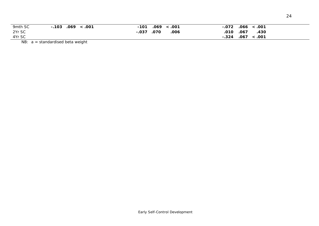| 9mth SC | $-.103$ | $.069$ < .001 | -101 |               | $.069$ < .001 |      |      | $-0.072$ .066 < .001 |
|---------|---------|---------------|------|---------------|---------------|------|------|----------------------|
| 2Yr SC  |         |               |      | $-0.037$ .070 | .006          | .010 | .067 | .430                 |
| 4Yr SC  |         |               |      |               |               |      |      | $-.324$ .067 < .001  |

*NB: a = standardised beta weight*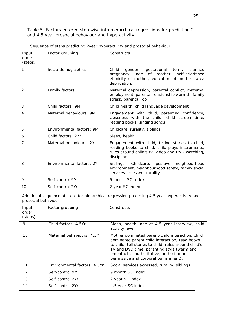|                           |                            | Sequence of steps predicting 2year hyperactivity and prosocial behaviour                                                                                                        |
|---------------------------|----------------------------|---------------------------------------------------------------------------------------------------------------------------------------------------------------------------------|
| Input<br>order<br>(steps) | Factor grouping            | Constructs                                                                                                                                                                      |
| 1                         | Socio-demographics         | Child<br>gestational<br>gender,<br>term,<br>planned<br>of<br>mother,<br>self-prioritised<br>pregnancy,<br>age<br>ethnicity of mother, education of mother, area<br>deprivation. |
| 2                         | Family factors             | Maternal depression, parental conflict, maternal<br>employment, parental relationship warmth, family<br>stress, parental job                                                    |
| 3                         | Child factors: 9M          | Child health, child language development                                                                                                                                        |
| 4                         | Maternal behaviours: 9M    | Engagement with child, parenting confidence,<br>closeness with the child, child screen time,<br>reading books, singing songs                                                    |
| 5                         | Environmental factors: 9M  | Childcare, rurality, siblings                                                                                                                                                   |
| 6                         | Child factors: 2Yr         | Sleep, health                                                                                                                                                                   |
| 7                         | Maternal behaviours: 2Yr   | Engagement with child, telling stories to child,<br>reading books to child, child plays instruments,<br>rules around child's tv, video and DVD watching,<br>discipline          |
| 8                         | Environmental factors: 2Yr | Childcare,<br>positive<br>Siblings,<br>neighbourhood<br>environment, neighbourhood safety, family social<br>services accessed, rurality                                         |
| 9                         | Self-control 9M            | 9 month SC Index                                                                                                                                                                |
| 10                        | Self-control 2Yr           | 2 year SC index                                                                                                                                                                 |

<span id="page-24-0"></span>Table 5. Factors entered step wise into hierarchical regressions for predicting 2 and 4.5 year prosocial behaviour and hyperactivity.

Additional sequence of steps for hierarchical regression predicting 4.5 year hyperactivity and prosocial behaviour

| Input<br>order<br>(steps) | Factor grouping              | Constructs                                                                                                                                                                                                                                                                                     |
|---------------------------|------------------------------|------------------------------------------------------------------------------------------------------------------------------------------------------------------------------------------------------------------------------------------------------------------------------------------------|
| 9                         | Child factors: 4.5Yr         | Sleep, health, age at 4.5 year interview, child<br>activity level                                                                                                                                                                                                                              |
| 10                        | Maternal behaviours: 4.5Y    | Mother dominated parent-child interaction, child<br>dominated parent child interaction, read books<br>to child, tell stories to child, rules around child's<br>TV and DVD time, parenting style (warm and<br>empathetic- authoritative, authoritarian,<br>permissive and corporal punishment). |
| 11                        | Environmental factors: 4.5Yr | Social services accessed, rurality, siblings                                                                                                                                                                                                                                                   |
| 12                        | Self-control 9M              | 9 month SC Index                                                                                                                                                                                                                                                                               |
| 13                        | Self-control 2Yr             | 2 year SC index                                                                                                                                                                                                                                                                                |
| 14                        | Self-control 2Yr             | 4.5 year SC index                                                                                                                                                                                                                                                                              |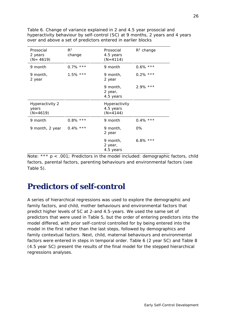| Prosocial<br>2 years<br>$(N = 4619)$   | $R^2$<br>change | Prosocial<br>4.5 years<br>$(N=4114)$     | $R2$ change |
|----------------------------------------|-----------------|------------------------------------------|-------------|
| 9 month                                | $0.7\%$ ***     | 9 month                                  | $0.6\%$ *** |
| 9 month,<br>2 year                     | $1.5\%$ ***     | 9 month,<br>2 year                       | $0.2\%$ *** |
|                                        |                 | 9 month,<br>2 year,<br>4.5 years         | $2.9\%$ *** |
| Hyperactivity 2<br>years<br>$(N=4619)$ |                 | Hyperactivity<br>4.5 years<br>$(N=4144)$ |             |
| 9 month                                | $0.8\%$ ***     | 9 month                                  | $0.4\%$ *** |
| 9 month, 2 year                        | $0.4\%$ ***     | 9 month,<br>2 year                       | 0%          |
|                                        |                 | 9 month,<br>2 year,<br>4.5 years         | $6.8\%$ *** |

<span id="page-25-1"></span>Table 6. Change of variance explained in 2 and 4.5 year prosocial and hyperactivity behaviour by self-control (SC) at 9 months, 2 years and 4 years over and above a set of predictors entered in earlier blocks

*Note:* \*\*\* *p* < .001; Predictors in the model included: demographic factors, child factors, parental factors, parenting behaviours and environmental factors (see Table 5).

# <span id="page-25-0"></span>**Predictors of self-control**

A series of hierarchical regressions was used to explore the demographic and family factors, and child, mother behaviours and environmental factors that predict higher levels of SC at 2-and 4.5-years. We used the same set of predictors that were used in Table 5, but the order of entering predictors into the model differed, with prior self-control controlled for by being entered into the model in the first rather than the last steps, followed by demographics and family contextual factors. Next, child, maternal behaviours and environmental factors were entered in steps in temporal order. Table 6 (2 year SC) and Table 8 (4.5 year SC) present the results of the final model for the stepped hierarchical regressions analyses.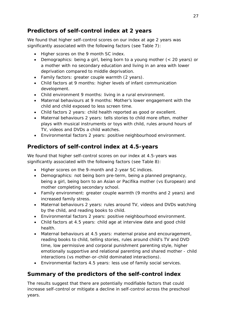### <span id="page-26-0"></span>**Predictors of self-control index at 2 years**

We found that higher self-control scores on our index at age 2 years was significantly associated with the following factors (see Table 7):

- Higher scores on the 9 month SC index.
- Demographics: being a girl, being born to a young mother (< 20 years) or a mother with no secondary education and living in an area with lower deprivation compared to middle deprivation.
- Family factors: greater couple warmth (2 years).
- Child factors at 9 months: higher levels of infant communication development.
- Child environment 9 months: living in a rural environment.
- Maternal behaviours at 9 months: Mother's lower engagement with the child and child exposed to less screen time.
- Child factors 2 years: child health reported as good or excellent.
- Maternal behaviours 2 years: tells stories to child more often, mother plays with musical instruments or toys with child, rules around hours of TV, videos and DVDs a child watches.
- Environmental factors 2 years: positive neighbourhood environment.

### <span id="page-26-1"></span>**Predictors of self-control index at 4.5-years**

We found that higher self-control scores on our index at 4.5-years was significantly associated with the following factors (see Table 8):

- Higher scores on the 9-month and 2-year SC indices.
- Demographics: not being born pre-term, being a planned pregnancy, being a girl, being born to an Asian or Pacifika mother (vs European) and mother completing secondary school.
- Family environment: greater couple warmth (9 months and 2 years) and increased family stress.
- Maternal behaviours 2 years: rules around TV, videos and DVDs watching by the child, and reading books to child.
- Environmental factors 2 years: positive neighbourhood environment.
- Child factors at 4.5 years: child age at interview date and good child health.
- Maternal behaviours at 4.5 years: maternal praise and encouragement, reading books to child, telling stories, rules around child's TV and DVD time, low permissive and corporal punishment parenting style, higher emotionally supportive and relational parenting and shared mother - child interactions (vs mother-or-child dominated interactions).
- Environmental factors 4.5 years: less use of family social services.

### <span id="page-26-2"></span>**Summary of the predictors of the self-control index**

The results suggest that there are potentially modifiable factors that could increase self-control or mitigate a decline in self-control across the preschool years.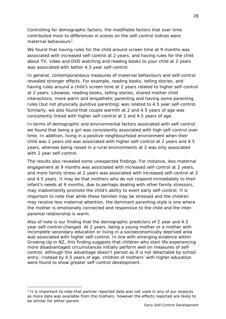Controlling for demographic factors, the modifiable factors that over time contributed most to differences in scores on the self-control indices were maternal behaviours<sup>[2](#page-27-0)</sup>.

We found that having rules for the child around screen time at 9 months was associated with increased self-control at 2 years, and having rules for the child about TV, video and DVD watching and reading books to your child at 2 years was associated with better 4.5 year self-control.

In general, contemporaneous measures of maternal behaviours and self-control revealed stronger effects. For example, reading books, telling stories, and having rules around a child's screen time at 2 years related to higher self-control at 2 years. Likewise, reading books, telling stories, shared mother child interactions, more warm and empathetic parenting and having some parenting rules (but not physically punitive parenting) was related to 4.5 year self-control. Similarly, we also found that couple warmth at 2 and 4.5 years of age was consistently linked with higher self-control at 2 and 4.5 years of age.

In terms of demographic and environmental factors associated with self-control, we found that being a girl was consistently associated with high self-control over time. In addition, living in a positive neighbourhood environment when their child was 2 years old was associated with higher self-control at 2 years and 4.5 years, whereas being raised in a rural environments at 2 was only associated with 2 year self-control.

The results also revealed some unexpected findings. For instance, less maternal engagement at 9 months was associated with increased self-control at 2 years, and more family stress at 2 years was associated with increased self-control at 2 and 4.5 years. It may be that mothers who do not respond immediately to their infant's needs at 9 months, due to perhaps dealing with other family stressors, may inadvertently promote the child's ability to exert early self-control. It is important to note that while these families may be stressed and the children may receive less maternal attention, the dominant parenting style is one where the mother is emotionally connected and responsive to the child and the interparental relationship is warm.

Also of note is our finding that the demographic predictors of 2 year and 4.5 year self-control changed. At 2 years, being a young mother or a mother with incomplete secondary education or living in a socioeconomically deprived area was associated with higher self-control. In line with emerging evidence within *Growing Up in NZ*, this finding suggests that children who start life experiencing more disadvantaged circumstances initially perform well on measures of selfcontrol, although this advantage doesn't persist as it is not detectable by school entry. Instead by 4.5 years of age, children of mothers' with higher education were found to show greater self-control development.

<span id="page-27-0"></span><sup>&</sup>lt;sup>2</sup> It is important to note that partner reported data was not used in any of our analysis as more data was available from the mothers, however the effects reported are likely to be similar for either parent.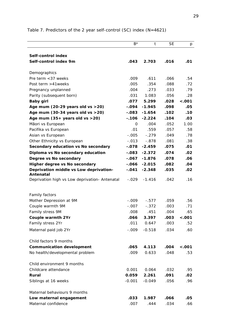|                                                     | $B^a$    | t        | <b>SE</b> | р       |
|-----------------------------------------------------|----------|----------|-----------|---------|
| Self-control index                                  |          |          |           |         |
| Self-control index 9m                               | .043     | 2.703    | .016      | .01     |
| Demographics                                        |          |          |           |         |
| Pre term $<$ 37 weeks                               | .009     | .611     | .066      | .54     |
| Post term >41weeks                                  | .005     | .354     | .088      | .72     |
| Pregnancy unplanned                                 | .004     | .273     | .033      | .79     |
| Parity (subsequent born)                            | .031     | 1.083    | .056      | .28     |
| <b>Baby girl</b>                                    | .077     | 5.299    | .028      | $-.001$ |
| Age mum $(20-29$ years old vs $>20$ )               | $-.094$  | $-1.945$ | .098      | .05     |
| Age mum $(30-34 \text{ years old vs } > 20)$        | $-.083$  | $-1.654$ | .102      | .10     |
| Age mum $(35 + \text{ years old vs } > 20)$         | $-.106$  | $-2.224$ | .104      | .03     |
| Māori vs European                                   | 0        | .004     | .052      | 1.00    |
| Pacifika vs European                                | .01      | .559     | .057      | .58     |
| Asian vs European                                   | $-.005$  | $-.279$  | .049      | .78     |
| Other Ethnicity vs European                         | $-.013$  | $-.878$  | .081      | .38     |
| Secondary education vs No secondary                 | -.078    | $-2.459$ | .075      | .01     |
| Diploma vs No secondary education                   | $-.083$  | $-2.372$ | .074      | .02     |
| Degree vs No secondary                              | $-.067$  | $-1.876$ | .078      | .06     |
| Higher degree vs No secondary                       | $-066$   | $-2.015$ | .082      | .04     |
| Deprivation middle vs Low deprivation-<br>Antenatal | $-.041$  | $-2.348$ | .035      | .02     |
| Deprivation high vs Low deprivation- Antenatal      | $-.029$  | $-1.416$ | .042      | .16     |
| <b>Family factors</b>                               |          |          |           |         |
| Mother Depression at 9M                             | $-.009$  | $-.577$  | .059      | .56     |
| Couple warmth 9M                                    | $-.007$  | $-.372$  | .003      | .71     |
| Family stress 9M                                    | .008     | .451     | .004      | .65     |
| Couple warmth 2Yr                                   | .066     | 3.397    | .003      | $-.001$ |
| Family stress 2Yr                                   | .011     | 0.647    | .003      | .52     |
| Maternal paid job 2Yr                               | $-.009$  | $-0.518$ | .034      | .60     |
| Child factors 9 months                              |          |          |           |         |
| <b>Communication development</b>                    | .065     | 4.113    | .004      | $-.001$ |
| No health/developmental problem                     | .009     | 0.633    | .048      | .53     |
| Child environment 9 months                          |          |          |           |         |
| Childcare attendance                                | 0.001    | 0.064    | .032      | .95     |
| Rural                                               | 0.059    | 2.261    | .091      | .02     |
| Siblings at 16 weeks                                | $-0.001$ | $-0.049$ | .056      | .96     |
| Maternal behaviours 9 months                        |          |          |           |         |
| Low maternal engagement                             | .033     | 1.987    | .066      | .05     |
| Maternal confidence                                 | .007     | .444     | .034      | .66     |

<span id="page-28-0"></span>Table 7. Predictors of the 2 year self-control (SC) index (N=4621)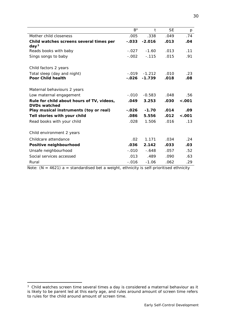|                                                                  | $B^a$   | $\mathfrak{t}$ | <b>SE</b> | $\overline{p}$   |
|------------------------------------------------------------------|---------|----------------|-----------|------------------|
| Mother child closeness                                           | .005    | .338           | .049      | .74              |
| Child watches screens several times per<br>day <sup>3</sup>      | $-.033$ | $-2.016$       | .013      | .04              |
| Reads books with baby                                            | $-.027$ | $-1.60$        | .013      | .11              |
| Sings songs to baby                                              | $-.002$ | $-0.115$       | .015      | .91              |
| Child factors 2 years                                            |         |                |           |                  |
| Total sleep (day and night)                                      | $-.019$ | $-1.212$       | .010      | .23              |
| <b>Poor Child health</b>                                         | $-.026$ | $-1.739$       | .018      | .08 <sub>0</sub> |
| Maternal behaviours 2 years                                      |         |                |           |                  |
| Low maternal engagement                                          | $-.010$ | $-0.583$       | .048      | .56              |
| Rule for child about hours of TV, videos,<br><b>DVDs watched</b> | .049    | 3.253          | .030      | $-.001$          |
| Play musical instruments (toy or real)                           | -.026   | $-1.70$        | .014      | .09              |
| Tell stories with your child                                     | .086    | 5.556          | .012      | < .001           |
| Read books with your child                                       | .028    | 1.506          | .016      | .13              |
| Child environment 2 years                                        |         |                |           |                  |
| Childcare attendance                                             | .02     | 1.171          | .034      | .24              |
| Positive neighbourhood                                           | .036    | 2.142          | .033      | .03              |
| Unsafe neighbourhood                                             | $-.010$ | $-.648$        | .057      | .52              |
| Social services accessed                                         | .013    | .489           | .090      | .63              |
| Rural                                                            | $-.016$ | $-1.06$        | .062      | .29              |

Note:  $(N = 4621)$  a = standardised bet a weight, ethnicity is self-prioritised ethnicity

<span id="page-29-0"></span><sup>&</sup>lt;sup>3</sup> Child watches screen time several times a day is considered a maternal behaviour as it is likely to be parent led at this early age, and rules around amount of screen time refers to rules for the child around amount of screen time.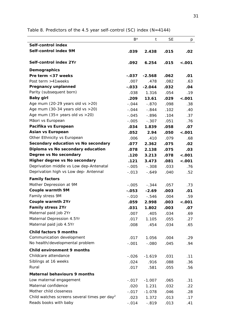|                                                          | $B^a$           | t        | SE   | р       |
|----------------------------------------------------------|-----------------|----------|------|---------|
| Self-control index                                       |                 |          |      |         |
| Self-control index 9M                                    | .039            | 2.438    | .015 | .02     |
| Self-control index 2Yr                                   | .092            | 6.254    | .015 | $-.001$ |
| Demographics                                             |                 |          |      |         |
| Pre term < 37 weeks                                      | $-.037$         | $-2.568$ | .062 | .01     |
| Post term >41weeks                                       | .007            | .478     | .082 | .63     |
| <b>Pregnancy unplanned</b>                               | $-.033$         | $-2.044$ | .032 | .04     |
| Parity (subsequent born)                                 | .038            | 1.316    | .054 | .19     |
| <b>Baby girl</b>                                         | .209            | 13.61    | .029 | $-.001$ |
| Age mum (20-29 years old vs $>20$ )                      | $-.044$         | $-.870$  | .098 | .38     |
| Age mum $(30-34 \text{ years}$ old vs $>20$ )            | $-.044$         | $-.844$  | .102 | .40     |
| Age mum $(35 + \text{ years old vs } > 20)$              | $-.045$         | $-.896$  | .104 | .37     |
| Māori vs European                                        | $-.005$         | $-.307$  | .051 | .76     |
| Pacifika vs European                                     | .034            | 1.839    | .058 | .07     |
| Asian vs European                                        | .052            | 2.94     | .050 | $-.001$ |
| Other Ethnicity vs European                              | .006            | .410     | .079 | .68     |
| Secondary education vs No secondary                      | .077            | 2.362    | .075 | .02     |
| Diploma vs No secondary education                        | .078            | 2.138    | .075 | .03     |
| Degree vs No secondary                                   | .120            | 3.213    | .078 | $-.001$ |
| Higher degree vs No secondary                            | .121            | 3.473    | .081 | $-.001$ |
| Deprivation middle vs Low dep-Antenatal                  | $-.005$         | $-.308$  | .033 | .76     |
| Deprivation high vs Low dep- Antennal                    | $-.013$         | $-.649$  | .040 | .52     |
| <b>Family factors</b>                                    |                 |          |      |         |
| Mother Depression at 9M                                  | $-.005$         | $-.344$  | .057 | .73     |
| <b>Couple warmth 9M</b>                                  | $-.053$         | $-2.69$  | .003 | .01     |
| Family stress 9M                                         | $-.010$         | $-0.546$ | .004 | .59     |
| Couple warmth 2Yr                                        | .059            | 2.998    | .003 | $-.001$ |
| <b>Family stress 2Yr</b>                                 | .031            | 1.802    | .003 | .07     |
| Maternal paid job 2Yr                                    | .007            | .405     | .034 | .69     |
| Maternal Depression 4.5Yr                                | .017            | 1.105    | .055 | .27     |
| Maternal paid job 4.5Yr                                  | .008            | .454     | .034 | .65     |
| <b>Child factors 9 months</b>                            |                 |          |      |         |
| Communication development                                |                 | 1.056    | .004 |         |
| No health/developmental problem                          | .017<br>$-.001$ | $-.080$  | .045 | .29     |
|                                                          |                 |          |      | .94     |
| <b>Child environment 9 months</b>                        |                 |          |      |         |
| Childcare attendance                                     | $-.026$         | $-1.619$ | .031 | .11     |
| Siblings at 16 weeks                                     | .024            | .916     | .088 | .36     |
| Rural                                                    | .017            | .581     | .055 | .56     |
| <b>Maternal behaviours 9 months</b>                      |                 |          |      |         |
| Low maternal engagement                                  | $-.017$         | $-1.007$ | .065 | .31     |
| Maternal confidence                                      | .020            | 1.231    | .032 | .22     |
| Mother child closeness                                   | $-.017$         | $-1.078$ | .046 | .28     |
| Child watches screens several times per day <sup>2</sup> | .023            | 1.372    | .013 | .17     |
| Reads books with baby                                    | $-.014$         | $-.819$  | .013 | .41     |

<span id="page-30-0"></span>Table 8. Predictors of the 4.5 year self-control (SC) index (N=4144)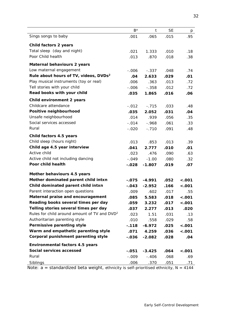|                                                               | $B^a$           | t                | <b>SE</b>    | р          |
|---------------------------------------------------------------|-----------------|------------------|--------------|------------|
| Sings songs to baby                                           | .001            | .065             | .015         | .95        |
| Child factors 2 years                                         |                 |                  |              |            |
| Total sleep (day and night)                                   | .021            | 1.333            | .010         | .18        |
| Poor Child health                                             | .013            | .870             | .018         | .38        |
|                                                               |                 |                  |              |            |
| <b>Maternal behaviours 2 years</b><br>Low maternal engagement |                 |                  |              |            |
| Rule about hours of TV, videos, DVDs <sup>2</sup>             | $-.006$         | $-.337$          | .048         | .74        |
| Play musical instruments (toy or real)                        | .04<br>.006     | 2.633<br>.363    | .029<br>.013 | .01<br>.72 |
| Tell stories with your child                                  | $-0.006$        | $-.358$          | .012         | .72        |
| Read books with your child                                    | .035            | 1.865            | .016         | .06        |
|                                                               |                 |                  |              |            |
| Child environment 2 years<br>Childcare attendance             |                 |                  |              |            |
| Positive neighbourhood                                        | $-.012$<br>.035 | $-.715$<br>2.052 | .033<br>.031 | .48        |
| Unsafe neighbourhood                                          | .014            | .939             | .056         | .04        |
| Social services accessed                                      | $-.014$         | $-.968$          | .061         | .35<br>.33 |
| Rural                                                         | $-.020$         | $-.710$          | .091         | .48        |
|                                                               |                 |                  |              |            |
| Child factors 4.5 years                                       |                 |                  |              |            |
| Child sleep (hours night)                                     | .013            | .853             | .013         | .39        |
| Child age 4.5 year interview                                  | .041            | 2.777            | .010         | .01        |
| Active child                                                  | .023            | .476             | .090         | .63        |
| Active child not including dancing                            | $-.049$         | $-1.00$          | .080         | .32        |
| Poor child health                                             | $-.028$         | $-1.807$         | .019         | .07        |
| Mother behaviours 4.5 years                                   |                 |                  |              |            |
| Mother dominated parent child intxn                           | $-.075$         | $-4.991$         | .052         | < .001     |
| Child dominated parent child intxn                            | $-.043$         | $-2.952$         | .166         | $-.001$    |
| Parent interaction open questions                             | .009            | .602             | .017         | .55        |
| Maternal praise and encouragement                             | .085            | 5.583            | .018         | $-.001$    |
| Reading books several times per day                           | .059            | 3.232            | .017         | $-.001$    |
| Telling stories several times per day                         | .037            | 2.277            | .013         | .020       |
| Rules for child around amount of TV and DVD <sup>2</sup>      | .023            | 1.51             | .031         | .13        |
| Authoritarian parenting style                                 | .010            | .558             | .029         | .58        |
| Permissive parenting style                                    | $-.118$         | $-6.972$         | .025         | $-.001$    |
| Warm and empathetic parenting style                           | .071            | 4.259            | .036         | < .001     |
| <b>Corporal punishment parenting style</b>                    | $-.036$         | $-2.082$         | .028         | .04        |
| <b>Environmental factors 4.5 years</b>                        |                 |                  |              |            |
| Social services accessed                                      | $-.051$         | $-3.425$         | .064         | $-.001$    |
| Rural                                                         | $-.009$         | $-.406$          | .068         | .69        |
| Siblings                                                      | .006            | .370             | .051         | .71        |
|                                                               |                 |                  |              |            |

Note:  $a =$  standardized beta weight, ethnicity is self-prioritised ethnicity,  $N = 4144$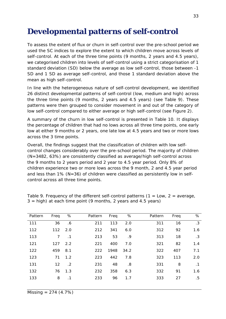# <span id="page-32-0"></span>**Developmental patterns of self-control**

To assess the extent of flux or churn in self-control over the pre-school period we used the SC indices to explore the extent to which children move across levels of self-control. At each of the three time points (9 months, 2 years and 4.5 years), we categorised children into levels of self-control using a strict categorisation of 1 standard deviation (SD) below the average as low self-control, those between -1 SD and 1 SD as average self-control, and those 1 standard deviation above the mean as high self-control.

In line with the heterogeneous nature of self-control development, we identified 26 distinct developmental patterns of self-control (low, medium and high) across the three time points (9 months, 2 years and 4.5 years) (see Table 9). These patterns were then grouped to consider movement in and out of the category of low self-control compared to either average or high self-control (see Figure 2).

A summary of the churn in low self-control is presented in Table 10. It displays the percentage of children that had no lows across all three time points, one early low at either 9 months or 2 years, one late low at 4.5 years and two or more lows across the 3 time points.

Overall, the findings suggest that the classification of children with low selfcontrol changes considerably over the pre-school period. The majority of children (N=3482, 63%) are consistently classified as average/high self-control across the 9 months to 2 years period and 2 year to 4.5 year period. Only 8% of children experience two or more lows across the 9 month, 2 and 4.5 year period and less than 1% (N=36) of children were classified as persistently low in selfcontrol across all three time points.

| Pattern | Freq           | %          | Pattern | Freq | %    | Pattern | Freq | %         |
|---------|----------------|------------|---------|------|------|---------|------|-----------|
| 111     | 36             | .6         | 211     | 113  | 2.0  | 311     | 16   | .3        |
| 112     | 112            | 2.0        | 212     | 341  | 6.0  | 312     | 92   | 1.6       |
| 113     | $\overline{7}$ | $\cdot$ 1  | 213     | 53   | .9   | 313     | 18   | $\cdot$ 3 |
| 121     | 127            | 2.2        | 221     | 400  | 7.0  | 321     | 82   | 1.4       |
| 122     | 459            | 8.1        | 222     | 1948 | 34.2 | 322     | 407  | 7.1       |
| 123     | 71             | 1.2        | 223     | 442  | 7.8  | 323     | 113  | 2.0       |
| 131     | 12             | $\cdot$ .2 | 231     | 48   | .8   | 331     | 8    | $\cdot$ 1 |
| 132     | 76             | 1.3        | 232     | 358  | 6.3  | 332     | 91   | 1.6       |
| 133     | 8              | .1         | 233     | 96   | 1.7  | 333     | 27   | .5        |
|         |                |            |         |      |      |         |      |           |

<span id="page-32-1"></span>Table 9. Frequency of the different self-control patterns  $(1 = Low, 2 = average,$  $3 =$  high) at each time point (9 months, 2 years and 4.5 years)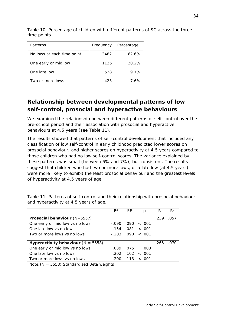| Patterns                   | Frequency | Percentage |
|----------------------------|-----------|------------|
| No lows at each time point | 3482      | 62.6%      |
| One early or mid low       | 1126      | $20.2\%$   |
| One late low               | 538       | $9.7\%$    |
| Two or more lows           | 423       | 7.6%       |

<span id="page-33-1"></span>Table 10. Percentage of children with different patterns of SC across the three time points.

### <span id="page-33-0"></span>**Relationship between developmental patterns of low self-control, prosocial and hyperactive behaviours**

We examined the relationship between different patterns of self-control over the pre-school period and their association with prosocial and hyperactive behaviours at 4.5 years (see Table 11).

The results showed that patterns of self-control development that included any classification of low self-control in early childhood predicted lower scores on prosocial behaviour, and higher scores on hyperactivity at 4.5 years compared to those children who had no low self-control scores. The variance explained by these patterns was small (between 6% and 7%), but consistent. The results suggest that children who had two or more lows, or a late low (at 4.5 years), were more likely to exhibit the least prosocial behaviour and the greatest levels of hyperactivity at 4.5 years of age.

|                                       | $B^a$   | SE   | р                  | к    | $R^2$ |
|---------------------------------------|---------|------|--------------------|------|-------|
| <b>Prosocial behaviour</b> $(N=5557)$ |         |      |                    | .239 | 057   |
| One early or mid low vs no lows       | - 090   |      | $.090 \le 001$     |      |       |
| One late low ys no lows               | $-.154$ | .081 | < 0.01             |      |       |
| Two or more lows vs no lows           | $-203$  |      | $.090 \times .001$ |      |       |
|                                       |         |      |                    |      |       |
| Hyperactivity behaviour $(N = 5558)$  |         |      |                    | .265 | 070.  |
| One early or mid low vs no lows       | .039    | .075 | .003               |      |       |
| One late low ys no lows               | .202    |      | $.102 \le .001$    |      |       |
| Two or more lows vs no lows           | .200    |      | $113 \div 001$     |      |       |
|                                       |         |      |                    |      |       |

<span id="page-33-2"></span>Table 11. Patterns of self-control and their relationship with prosocial behaviour and hyperactivity at 4.5 years of age.

*Note:*(*N* = 5558) *Standardised Beta weights*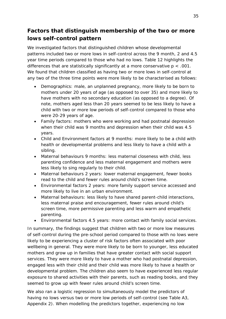### <span id="page-34-0"></span>**Factors that distinguish membership of the two or more lows self-control pattern**

We investigated factors that distinguished children whose developmental patterns included two or more lows in self-control across the 9 month, 2 and 4.5 year time periods compared to those who had no lows. Table 12 highlights the differences that are statistically significantly at a more conservative *p* < .001. We found that children classified as having two or more lows in self-control at any two of the three time points were more likely to be characterised as follows:

- Demographics: male, an unplanned pregnancy, more likely to be born to mothers under 20 years of age (as opposed to over 35) and more likely to have mothers with no secondary education (as opposed to a degree). Of note, mothers aged less than 20 years seemed to be less likely to have a child with two or more low periods of self-control compared to those who were 20-29 years of age.
- Family factors: mothers who were working and had postnatal depression when their child was 9 months and depression when their child was 4.5 years.
- Child and Environment factors at 9 months: more likely to be a child with health or developmental problems and less likely to have a child with a sibling.
- Maternal behaviours 9 months: less maternal closeness with child, less parenting confidence and less maternal engagement and mothers were less likely to sing regularly to their child.
- Maternal behaviours 2 years: lower maternal engagement, fewer books read to the child and fewer rules around child's screen time.
- Environmental factors 2 years: more family support service accessed and more likely to live in an urban environment.
- Maternal behaviours: less likely to have shared parent-child interactions, less maternal praise and encouragement, fewer rules around child's screen time, more permissive parenting and less warm and empathetic parenting.
- Environmental factors 4.5 years: more contact with family social services.

In summary, the findings suggest that children with two or more low measures of self-control during the pre-school period compared to those with no lows were likely to be experiencing a cluster of risk factors often associated with poor wellbeing in general. They were more likely to be born to younger, less educated mothers and grow up in families that have greater contact with social support services. They were more likely to have a mother who had postnatal depression, engaged less with their child and their child was more likely to have a health or developmental problem. The children also seem to have experienced less regular exposure to shared activities with their parents, such as reading books, and they seemed to grow up with fewer rules around child's screen time.

We also ran a logistic regression to simultaneously model the predictors of having no lows versus two or more low periods of self-control (see Table A3, Appendix 2). When modelling the predictors together, experiencing no low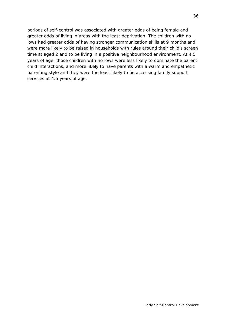periods of self-control was associated with greater odds of being female and greater odds of living in areas with the least deprivation. The children with no lows had greater odds of having stronger communication skills at 9 months and were more likely to be raised in households with rules around their child's screen time at aged 2 and to be living in a positive neighbourhood environment. At 4.5 years of age, those children with no lows were less likely to dominate the parent child interactions, and more likely to have parents with a warm and empathetic parenting style and they were the least likely to be accessing family support services at 4.5 years of age.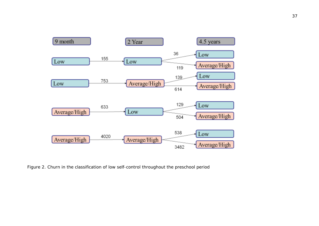

<span id="page-36-0"></span>Figure 2. Churn in the classification of low self-control throughout the preschool period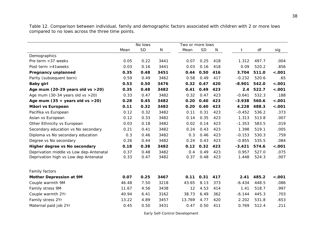Table 12. Comparison between individual, family and demographic factors associated with children with 2 or more lows compared to no lows across the three time points.

<span id="page-37-0"></span>

|                                               | No lows |           |           | Two or more lows |           |     |          |       |         |
|-----------------------------------------------|---------|-----------|-----------|------------------|-----------|-----|----------|-------|---------|
|                                               | Mean    | <b>SD</b> | ${\sf N}$ | Mean             | <b>SD</b> | N   | t        | df    | sig     |
| Demographics                                  |         |           |           |                  |           |     |          |       |         |
| Pre term < 37 weeks                           | 0.05    | 0.22      | 3441      | 0.07             | 0.25      | 418 | 1.312    | 497.7 | .004    |
| Post term >41weeks                            | 0.03    | 0.16      | 3441      | 0.03             | 0.16      | 418 | 0.09     | 520.2 | .856    |
| <b>Pregnancy unplanned</b>                    | 0.35    | 0.48      | 3451      | 0.44             | 0.50      | 416 | 3.704    | 511.0 | $-.001$ |
| Parity (subsequent born)                      | 0.59    | 0.49      | 3462      | 0.58             | 0.49      | 417 | $-0.232$ | 520.6 | .65     |
| <b>Baby girl</b>                              | 0.53    | 0.50      | 3476      | 0.32             | 0.47      | 420 | $-8.901$ | 542.0 | $-.001$ |
| Age mum $(20-29$ years old vs $>20$ )         | 0.35    | 0.48      | 3482      | 0.41             | 0.49      | 423 | 2.4      | 522.7 | $-.001$ |
| Age mum $(30-34 \text{ years}$ old vs $>20$ ) | 0.33    | 0.47      | 3482      | 0.32             | 0.47      | 423 | $-0.641$ | 532.3 | .188    |
| Age mum $(35 + \text{years old vs } > 20)$    | 0.28    | 0.45      | 3482      | 0.20             | 0.40      | 423 | $-3.938$ | 560.6 | $-.001$ |
| Māori vs European                             | 0.11    | 0.32      | 3482      | 0.20             | 0.40      | 423 | 4.228    | 488.3 | $-.001$ |
| Pacifika vs European                          | 0.12    | 0.32      | 3482      | 0.11             | 0.31      | 423 | $-0.452$ | 536.2 | .373    |
| Asian vs European                             | 0.12    | 0.33      | 3482      | 0.14             | 0.35      | 423 | 1.313    | 513.8 | .007    |
| Other Ethnicity vs European                   | 0.03    | 0.18      | 3482      | 0.02             | 0.14      | 423 | $-1.353$ | 583.5 | .019    |
| Secondary education vs No secondary           | 0.21    | 0.41      | 3482      | 0.24             | 0.43      | 423 | 1.398    | 519.1 | .005    |
| Diploma vs No secondary education             | 0.3     | 0.46      | 3482      | 0.3              | 0.46      | 423 | $-0.153$ | 530.3 | .759    |
| Degree vs No secondary                        | 0.26    | 0.44      | 3482      | 0.24             | 0.43      | 423 | $-0.855$ | 535.5 | .084    |
| Higher degree vs No secondary                 | 0.18    | 0.38      | 3482      | 0.12             | 0.32      | 423 | $-3.421$ | 574.6 | $-.001$ |
| Deprivation middle vs Low dep-Antenatal       | 0.37    | 0.48      | 3482      | 0.4              | 0.49      | 423 | 0.957    | 527.0 | .075    |
| Deprivation high vs Low dep Antenatal         | 0.33    | 0.47      | 3482      | 0.37             | 0.48      | 423 | 1.448    | 524.3 | .007    |
| Family factors                                |         |           |           |                  |           |     |          |       |         |
| <b>Mother Depression at 9M</b>                | 0.07    | 0.25      | 3467      | 0.11             | 0.31      | 417 | 2.41     | 485.2 | < .001  |
| Couple warmth 9M                              | 46.48   | 7.50      | 3218      | 43.65            | 8.13      | 373 | $-6.434$ | 448.5 | .086    |
| Family stress 9M                              | 11.67   | 4.56      | 3438      | 12               | 4.53      | 414 | 1.41     | 518.7 | .997    |
| Couple warmth 2Yr                             | 40.94   | 6.41      | 3162      | 38.73            | 6.49      | 362 | $-6.144$ | 445.3 | .703    |
| Family stress 2Yr                             | 13.22   | 4.89      | 3457      | 13.769           | 4.77      | 420 | 2.202    | 531.8 | .653    |
| Maternal paid job 2Yr                         | 0.45    | 0.50      | 3431      | 0.47             | 0.50      | 411 | 0.769    | 512.4 | .211    |

Early Self-Control Development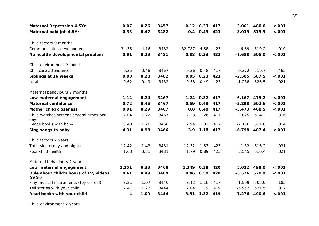| <b>Maternal Depression 4.5Yr</b>                             | 0.07  | 0.26 | 3457 |        | $0.12$ $0.33$ | 417 | 3.001    | 480.6 | $-.001$ |
|--------------------------------------------------------------|-------|------|------|--------|---------------|-----|----------|-------|---------|
| Maternal paid job 4.5Yr                                      | 0.33  | 0.47 | 3482 | 0.4    | 0.49          | 423 | 3.019    | 519.9 | $-.001$ |
| Child factors 9 months                                       |       |      |      |        |               |     |          |       |         |
| Communication development                                    | 34.35 | 4.16 | 3482 | 32.787 | 4.58          | 423 | $-6.69$  | 510.2 | .010    |
| No health/developmental problem                              | 0.91  | 0.29 | 3481 | 0.88   | 0.33          | 422 | $-1.688$ | 505.0 | $-.001$ |
| Child environment 9 months                                   |       |      |      |        |               |     |          |       |         |
| Childcare attendance                                         | 0.35  | 0.48 | 3467 | 0.36   | 0.48          | 417 | 0.372    | 519.7 | .465    |
| Siblings at 16 weeks                                         | 0.08  | 0.28 | 3482 | 0.05   | 0.23          | 423 | $-2.505$ | 587.5 | $-.001$ |
| rural                                                        | 0.62  | 0.49 | 3482 | 0.58   | 0.49          | 423 | $-1.288$ | 526.5 | .021    |
| Maternal behaviours 9 months                                 |       |      |      |        |               |     |          |       |         |
| Low maternal engagement                                      | 1.14  | 0.24 | 3467 |        | $1.24$ 0.32   | 417 | 6.167    | 475.2 | $-.001$ |
| <b>Maternal confidence</b>                                   | 0.72  | 0.45 | 3467 | 0.59   | 0.49          | 417 | $-5.298$ | 502.6 | $-.001$ |
| <b>Mother child closeness</b>                                | 0.91  | 0.29 | 3467 | 0.8    | 0.40          | 417 | $-5.473$ | 468.5 | $-.001$ |
| Child watches screens several times per<br>day <sup>2</sup>  | 2.04  | 1.22 | 3467 | 2.23   | 1.26          | 417 | 2.825    | 514.3 | .316    |
| Reads books with baby                                        | 3.43  | 1.26 | 3466 | 2.94   | 1.32          | 417 | $-7.136$ | 511.0 | .314    |
| Sing songs to baby                                           | 4.31  | 0.98 | 3466 | 3.9    | 1.18          | 417 | $-6.798$ | 487.4 | < .001  |
| Child factors 2 years                                        |       |      |      |        |               |     |          |       |         |
| Total sleep (day and night)                                  | 12.42 | 1.43 | 3481 | 12.32  | 1.53          | 423 | $-1.32$  | 516.2 | .031    |
| Poor child health                                            | 1.63  | 0.81 | 3481 | 1.79   | 0.89          | 423 | 3.545    | 510.4 | .021    |
| Maternal behaviours 2 years                                  |       |      |      |        |               |     |          |       |         |
| Low maternal engagement                                      | 1.251 | 0.33 | 3468 | 1.349  | 0.38          | 420 | 5.022    | 498.0 | < .001  |
| Rule about child's hours of TV, videos,<br>DVDs <sup>2</sup> | 0.61  | 0.49 | 3469 | 0.46   | 0.50          | 420 | $-5.526$ | 520.9 | $-.001$ |
| Play musical instruments (toy or real)                       | 3.21  | 1.07 | 3440 | 3.12   | 1.16          | 417 | $-1.599$ | 505.9 | .185    |
| Tell stories with your child                                 | 2.41  | 1.22 | 3444 | 2.04   | 1.19          | 419 | $-5.952$ | 531.5 | .012    |
| Read books with your child                                   | 4     | 1.09 | 3444 | 3.51   | 1.32          | 419 | $-7.276$ | 490.6 | $-.001$ |

*Child environment 2 years*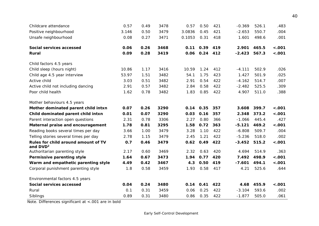| Childcare attendance                                        | 0.57  | 0.49 | 3478 | 0.57   | 0.50          | 421 | $-0.369$ | 526.1 | .483    |
|-------------------------------------------------------------|-------|------|------|--------|---------------|-----|----------|-------|---------|
| Positive neighbourhood                                      | 3.146 | 0.50 | 3479 | 3.0836 | 0.45          | 421 | $-2.653$ | 550.7 | .004    |
| Unsafe neighbourhood                                        | 0.08  | 0.27 | 3471 | 0.1053 | 0.31          | 418 | 1.601    | 498.6 | .001    |
| Social services accessed                                    | 0.06  | 0.26 | 3468 | 0.11   | 0.39          | 419 | 2.901    | 465.5 | < .001  |
| Rural                                                       | 0.09  | 0.28 | 3419 |        | 0.06 0.24 412 |     | $-2.423$ | 567.3 | $-.001$ |
| Child factors 4.5 years                                     |       |      |      |        |               |     |          |       |         |
| Child sleep (hours night)                                   | 10.86 | 1.17 | 3416 | 10.59  | 1.24          | 412 | $-4.111$ | 502.9 | .026    |
| Child age 4.5 year interview                                | 53.97 | 1.51 | 3482 | 54.1   | 1.75          | 423 | 1.427    | 501.9 | .025    |
| Active child                                                | 3.03  | 0.51 | 3482 | 2.91   | 0.54          | 422 | $-4.162$ | 514.7 | .007    |
| Active child not including dancing                          | 2.91  | 0.57 | 3482 | 2.84   | 0.58          | 422 | $-2.482$ | 525.5 | .309    |
| Poor child health                                           | 1.62  | 0.78 | 3482 | 1.83   | 0.85          | 422 | 4.907    | 511.0 | .388    |
| Mother behaviours 4.5 years                                 |       |      |      |        |               |     |          |       |         |
| Mother dominated parent child intxn                         | 0.07  | 0.26 | 3290 | 0.14   | 0.35          | 357 | 3.608    | 399.7 | $-.001$ |
| Child dominated parent child intxn                          | 0.01  | 0.07 | 3290 | 0.03   | 0.16          | 357 | 2.348    | 373.2 | < .001  |
| Parent interaction open questions                           | 2.31  | 0.78 | 3306 | 2.27   | 0.80          | 366 | $-1.066$ | 445.4 | .427    |
| Maternal praise and encouragement                           | 1.78  | 0.81 | 3295 | 1.58   | 0.72          | 363 | $-5.121$ | 469.2 | < .001  |
| Reading books several times per day                         | 3.66  | 1.00 | 3479 | 3.28   | 1.10          | 422 | $-6.808$ | 509.7 | .004    |
| Telling stories several times per day                       | 2.78  | 1.15 | 3479 | 2.45   | 1.21          | 422 | $-5.236$ | 518.0 | .002    |
| Rules for child around amount of TV<br>and DVD <sup>2</sup> | 0.7   | 0.46 | 3479 | 0.62   | 0.49          | 422 | $-3.452$ | 515.2 | $-.001$ |
| Authoritarian parenting style                               | 2.17  | 0.60 | 3469 | 2.32   | 0.63          | 420 | 4.694    | 514.9 | .363    |
| Permissive parenting style                                  | 1.64  | 0.67 | 3473 | 1.94   | 0.77          | 420 | 7.492    | 498.9 | $-.001$ |
| Warm and empathetic parenting style                         | 4.49  | 0.42 | 3467 | 4.3    | 0.50          | 419 | $-7.601$ | 494.1 | $-.001$ |
| Corporal punishment parenting style                         | 1.8   | 0.58 | 3459 | 1.93   | 0.58          | 417 | 4.21     | 525.6 | .644    |
| Environmental factors 4.5 years                             |       |      |      |        |               |     |          |       |         |
| Social services accessed                                    | 0.04  | 0.24 | 3480 | 0.14   | 0.41          | 422 | 4.68     | 455.9 | < .001  |
| Rural                                                       | 0.1   | 0.31 | 3459 | 0.06   | 0.25          | 422 | $-3.104$ | 593.6 | .002    |
| Siblings                                                    | 0.89  | 0.31 | 3480 | 0.86   | 0.35          | 422 | $-1.877$ | 505.0 | .061    |

Note. Differences significant at <.001 are in bold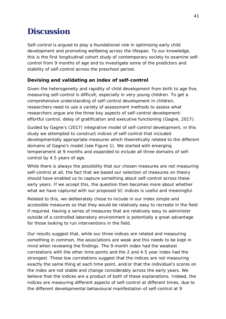# <span id="page-40-0"></span>**Discussion**

Self-control is argued to play a foundational role in optimising early child development and promoting wellbeing across the lifespan. To our knowledge, this is the first longitudinal cohort study of contemporary society to examine selfcontrol from 9 months of age and to investigate some of the predictors and stability of self-control across the preschool period.

### <span id="page-40-1"></span>**Devising and validating an index of self-control**

Given the heterogeneity and rapidity of child development from birth to age five, measuring self-control is difficult, especially in very young children. To get a comprehensive understanding of self-control development in children, researchers need to use a variety of assessment methods to assess what researchers argue are the three key aspects of self-control development: effortful control, delay of gratification and executive functioning (Gagne, 2017).

Guided by Gagne's (2017) integrative model of self-control development, in this study we attempted to construct indices of self-control that included developmentally appropriate measures which theoretically related to the different domains of Gagne's model (see Figure 1). We started with emerging temperament at 9 months and expanded to include all three domains of selfcontrol by 4.5 years of age.

While there is always the possibility that our chosen measures are not measuring self-control at all, the fact that we based our selection of measures on theory should have enabled us to capture something about self-control across these early years. If we accept this, the question then becomes more about whether what we have captured with our proposed SC indices is useful and meaningful.

Related to this, we deliberately chose to include in our index simple and accessible measures so that they would be relatively easy to recreate in the field if required. Having a series of measures that are relatively easy to administer outside of a controlled laboratory environment is potentially a great advantage for those looking to run interventions in the field.

Our results suggest that, while our three indices are related and measuring something in common, the associations are weak and this needs to be kept in mind when reviewing the findings. The 9 month index had the weakest correlations with the other time points and the 2 and 4.5 year index had the strongest. These low correlations suggest that the indices are not measuring exactly the same thing at each time point, and/or that the individual's scores on the index are not stable and change considerably across the early years. We believe that the indices are a product of both of these explanations. Indeed, the indices *are* measuring different aspects of self-control at different times, due to the different developmental behavioural manifestation of self-control at 9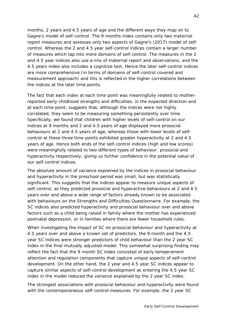months, 2 years and 4.5 years of age and the different ways they map on to Gagne's model of self-control. The 9 months index contains only two maternal report measures and assesses only two aspects of Gagne's (2017) model of selfcontrol. Whereas the 2 and 4.5 year self-control indices contain a larger number of measures which tap into more domains of self-control. The measures in the 2 and 4.5 year indices also use a mix of maternal report and observations, and the 4.5 years index also includes a cognitive test. Hence the later self-control indices are more comprehensive (in terms of domains of self-control covered and measurement approach) and this is reflected in the higher correlations between the indices at the later time points.

The fact that each index at each time point was meaningfully related to motherreported early childhood strengths and difficulties, in the expected direction and at each time point, suggests that, although the indices were not highly correlated, they seem to be measuring something persistently over time. Specifically, we found that children with higher levels of self-control on our indices at 9 months and 2 and 4.5 years of age displayed more prosocial behaviours at 2 and 4.5 years of age, whereas those with lower levels of selfcontrol at these three time points exhibited greater hyperactivity at 2 and 4.5 years of age. Hence both ends of the self-control indices (high and low scores) were meaningfully related to two different types of behaviour: prosocial and hyperactivity respectively, giving us further confidence in the potential value of our self-control indices.

The absolute amount of variance explained by the indices in prosocial behaviour and hyperactivity in the preschool period was small, but was statistically significant. This suggests that the indices appear to measure unique aspects of self-control, as they predicted prosocial and hyperactive behaviours at 2 and 4.5 years over and above a wide range of factors already known to be associated with behaviours on the Strengths and Difficulties Questionnaire. For example, the SC indices also predicted hyperactivity and prosocial behaviour over and above factors such as a child being raised in family where the mother has experienced postnatal depression, or in families where there are fewer household rules.

When investigating the impact of SC on prosocial behaviour and hyperactivity at 4.5 years over and above a known set of predictors, the 9 month and the 4.5 year SC indices were stronger predictors of child behaviour than the 2 year SC index in the final mutually adjusted model. This somewhat surprising finding may reflect the fact that the 9 month SC index consisted of early temperament attention and regulation components that capture unique aspects of self-control development. On the other hand, the 2 year and 4.5 year SC indices appear to capture similar aspects of self-control development as entering the 4.5 year SC index in the model reduced the variance explained by the 2 year SC index.

The strongest associations with prosocial behaviour and hyperactivity were found with the contemporaneous self-control measures. For example, the 2 year SC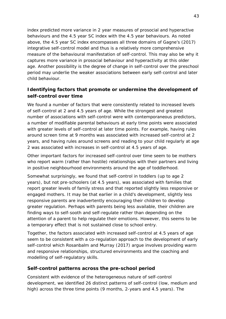index predicted more variance in 2 year measures of prosocial and hyperactive behaviours and the 4.5 year SC index with the 4.5 year behaviours. As noted above, the 4.5 year SC index encompasses all three domains of Gagne's (2017) integrative self-control model and thus is a relatively more comprehensive measure of the behavioural manifestation of self-control. This may also be why it captures more variance in prosocial behaviour and hyperactivity at this older age. Another possibility is the degree of change in self-control over the preschool period may underlie the weaker associations between early self-control and later child behaviour.

### <span id="page-42-0"></span>**Identifying factors that promote or undermine the development of self-control over time**

We found a number of factors that were consistently related to increased levels of self-control at 2 and 4.5 years of age. While the strongest and greatest number of associations with self-control were with contemporaneous predictors, a number of modifiable parental behaviours at early time points were associated with greater levels of self-control at later time points. For example, having rules around screen time at 9 months was associated with increased self-control at 2 years, and having rules around screens and reading to your child regularly at age 2 was associated with increases in self-control at 4.5 years of age.

Other important factors for increased self-control over time seem to be mothers who report warm (rather than hostile) relationships with their partners and living in positive neighbourhood environments around the age of toddlerhood.

Somewhat surprisingly, we found that self-control in toddlers (up to age 2 years), but not pre-schoolers (at 4.5 years), was associated with families that report greater levels of family stress and that reported slightly less responsive or engaged mothers. It may be that earlier in a child's development, slightly less responsive parents are inadvertently encouraging their children to develop greater regulation. Perhaps with parents being less available, their children are finding ways to self-sooth and self-regulate rather than depending on the attention of a parent to help regulate their emotions. However, this seems to be a temporary effect that is not sustained close to school entry.

Together, the factors associated with increased self-control at 4.5 years of age seem to be consistent with a co-regulation approach to the development of early self-control which Rosanbalm and Murray (2017) argue involves providing warm and responsive relationships, structured environments and the coaching and modelling of self-regulatory skills.

### <span id="page-42-1"></span>**Self-control patterns across the pre-school period**

Consistent with evidence of the heterogeneous nature of self-control development, we identified 26 distinct patterns of self-control (low, medium and high) across the three time points (9 months, 2-years and 4.5 years). The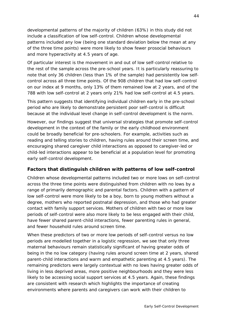developmental patterns of the majority of children (63%) in this study did not include a classification of low self-control. Children whose developmental patterns included any low (being one standard deviation below the mean at any of the three time points) were more likely to show fewer prosocial behaviours and more hyperactivity at 4.5 years of age.

Of particular interest is the movement in and out of low self-control relative to the rest of the sample across the pre-school years. It is particularly reassuring to note that only 36 children (less than 1% of the sample) had persistently low selfcontrol across all three time points. Of the 908 children that had low self-control on our index at 9 months, only 13% of them remained low at 2 years, and of the 788 with low self-control at 2 years only 21% had low self-control at 4.5 years.

This pattern suggests that identifying individual children early in the pre-school period who are likely to demonstrate persistent poor self-control is difficult because at the individual level change in self-control development is the norm.

However, our findings suggest that universal strategies that promote self-control development in the context of the family or the early childhood environment could be broadly beneficial for pre-schoolers. For example, activities such as reading and telling stories to children, having rules around their screen time, and encouraging shared caregiver child interactions as opposed to caregiver-led or child-led interactions appear to be beneficial at a population level for promoting early self-control development.

### <span id="page-43-0"></span>**Factors that distinguish children with patterns of low self-control**

Children whose developmental patterns included two or more lows on self-control across the three time points were distinguished from children with no lows by a range of primarily demographic and parental factors. Children with a pattern of low self-control were more likely to be a boy, born to young mothers without a degree, mothers who reported postnatal depression, and those who had greater contact with family support services. Mothers of children with two or more low periods of self-control were also more likely to be less engaged with their child, have fewer shared parent-child interactions, fewer parenting rules in general, and fewer household rules around screen time.

When these predictors of two or more low periods of self-control versus no low periods are modelled together in a logistic regression, we see that only three maternal behaviours remain statistically significant of having greater odds of being in the no low category (having rules around screen time at 2 years, shared parent-child interactions and warm and empathetic parenting at 4.5 years). The remaining predictors were largely contextual with no lows having greater odds of living in less deprived areas, more positive neighbourhoods and they were less likely to be accessing social support services at 4.5 years. Again, these findings are consistent with research which highlights the importance of creating environments where parents and caregivers can work with their children to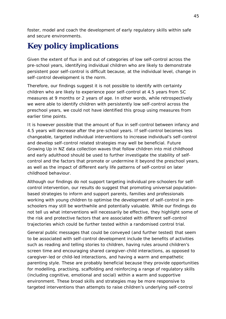foster, model and coach the development of early regulatory skills within safe and secure environments.

# <span id="page-44-0"></span>**Key policy implications**

Given the extent of flux in and out of categories of low self-control across the pre-school years, identifying individual children who are likely to demonstrate persistent poor self-control is difficult because, at the individual level, change in self-control development is the norm.

Therefore, our findings suggest it is not possible to identify with certainty children who are likely to experience poor self-control at 4.5 years from SC measures at 9 months or 2 years of age. In other words, while retrospectively we were able to identify children with persistently low self-control across the preschool years, we could not have identified this group using measures from earlier time points.

It is however possible that the amount of flux in self-control between infancy and 4.5 years will decrease after the pre-school years. If self-control becomes less changeable, targeted individual interventions to increase individual's self-control and develop self-control related strategies may well be beneficial. Future Growing Up in NZ data collection waves that follow children into mid childhood and early adulthood should be used to further investigate the stability of selfcontrol and the factors that promote or undermine it beyond the preschool years, as well as the impact of different early life patterns of self-control on later childhood behaviour.

Although our findings do not support targeting individual pre-schoolers for selfcontrol intervention, our results do suggest that promoting universal populationbased strategies to inform and support parents, families and professionals working with young children to optimise the development of self-control in preschoolers may still be worthwhile and potentially valuable. While our findings do not tell us what interventions will necessarily be effective, they highlight some of the risk and protective factors that are associated with different self-control trajectories which could be further tested within a randomised control trial.

General public messages that could be conveyed (and further tested) that seem to be associated with self-control development include the benefits of activities such as reading and telling stories to children, having rules around children's screen time and encouraging shared caregiver-child interactions, as opposed to caregiver-led or child-led interactions, and having a warm and empathetic parenting style. These are probably beneficial because they provide opportunities for modelling, practising, scaffolding and reinforcing a range of regulatory skills (including cognitive, emotional and social) within a warm and supportive environment. These broad skills and strategies may be more responsive to targeted interventions than attempts to raise children's underlying self-control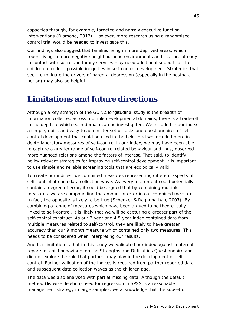capacities through, for example, targeted and narrow executive function interventions (Diamond, 2012). However, more research using a randomised control trial would be needed to investigate this.

Our findings also suggest that families living in more deprived areas, which report living in more negative neighbourhood environments and that are already in contact with social and family services may need additional support for their children to reduce possible inequities in self-control development. Strategies that seek to mitigate the drivers of parental depression (especially in the postnatal period) may also be helpful.

# <span id="page-45-0"></span>**Limitations and future directions**

Although a key strength of the GUiNZ longitudinal study is the breadth of information collected across multiple developmental domains, there is a trade-off in the depth to which each domain can be investigated. We included in our index a simple, quick and easy to administer set of tasks and questionnaires of selfcontrol development that could be used in the field. Had we included more indepth laboratory measures of self-control in our index, we may have been able to capture a greater range of self-control related behaviour and thus, observed more nuanced relations among the factors of interest. That said, to identify policy relevant strategies for improving self-control development, it is important to use simple and reliable screening tools that are ecologically valid.

To create our indices, we combined measures representing different aspects of self-control at each data collection wave. As every instrument could potentially contain a degree of error, it could be argued that by combining multiple measures, we are compounding the amount of error in our combined measures. In fact, the opposite is likely to be true (Schenker & Raghunathan, 2007). By combining a range of measures which have been argued to be theoretically linked to self-control, it is likely that we will be capturing a greater part of the self-control construct. As our 2 year and 4.5 year index contained data from multiple measures related to self-control, they are likely to have greater accuracy than our 9 month measure which contained only two measures. This needs to be considered when interpreting our results.

Another limitation is that in this study we validated our index against maternal reports of child behaviours on the Strengths and Difficulties Questionnaire and did not explore the role that partners may play in the development of selfcontrol. Further validation of the indices is required from partner reported data and subsequent data collection waves as the children age.

The data was also analysed with partial missing data. Although the default method (listwise deletion) used for regression in SPSS is a reasonable management strategy in large samples, we acknowledge that the subset of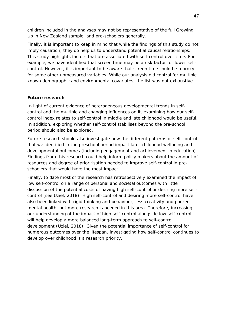children included in the analyses may not be representative of the full Growing Up in New Zealand sample, and pre-schoolers generally.

Finally, it is important to keep in mind that while the findings of this study do not imply causation, they do help us to understand potential causal relationships. This study highlights factors that are associated with self-control over time. For example, we have identified that screen time may be a risk factor for lower selfcontrol. However, it is important to be aware that screen time could be a proxy for some other unmeasured variables. While our analysis did control for multiple known demographic and environmental covariates, the list was not exhaustive.

#### **Future research**

In light of current evidence of heterogeneous developmental trends in selfcontrol and the multiple and changing influences on it, examining how our selfcontrol index relates to self-control in middle and late childhood would be useful. In addition, exploring whether self-control stabilises beyond the pre-school period should also be explored.

Future research should also investigate how the different patterns of self-control that we identified in the preschool period impact later childhood wellbeing and developmental outcomes (including engagement and achievement in education). Findings from this research could help inform policy makers about the amount of resources and degree of prioritisation needed to improve self-control in preschoolers that would have the most impact.

Finally, to date most of the research has retrospectively examined the impact of low self-control on a range of personal and societal outcomes with little discussion of the potential costs of having high self-control or desiring more selfcontrol (see Uziel, 2018). High self-control and desiring more self-control have also been linked with rigid thinking and behaviour, less creativity and poorer mental health, but more research is needed in this area. Therefore, increasing our understanding of the impact of high self-control alongside low self-control will help develop a more balanced long-term approach to self-control development (Uziel, 2018). Given the potential importance of self-control for numerous outcomes over the lifespan, investigating how self-control continues to develop over childhood is a research priority.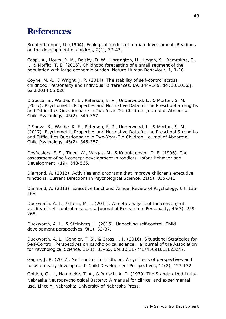# <span id="page-47-0"></span>**References**

Bronfenbrenner, U. (1994). Ecological models of human development. *Readings on the development of children,* 2(1), 37-43.

Caspi, A., Houts, R. M., Belsky, D. W., Harrington, H., Hogan, S., Ramrakha, S., ... & Moffitt, T. E. (2016). Childhood forecasting of a small segment of the population with large economic burden. Nature Human Behaviour, 1, 1-10.

Coyne, M. A., & Wright, J. P. (2014). The stability of self-control across childhood. Personality and Individual Differences, 69, 144–149. doi:10.1016/j. paid.2014.05.026

D'Souza, S., Waldie, K. E., Peterson, E. R., Underwood, L., & Morton, S. M. (2017). Psychometric Properties and Normative Data for the Preschool Strengths and Difficulties Questionnaire in Two-Year-Old Children. J*ournal of Abnormal Child Psychology, 45*(2), 345-357.

D'Souza, S., Waldie, K. E., Peterson, E. R., Underwood, L., & Morton, S. M. (2017). Psychometric Properties and Normative Data for the Preschool Strengths and Difficulties Questionnaire in Two-Year-Old Children. J*ournal of Abnormal Child Psychology, 45*(2), 345-357.

DesRosiers, F. S., Tineo, W., Vargas, M., & Knauf-Jensen, D. E. (1996). The assessment of self-concept development in toddlers. *Infant Behavior and Development, (19), 543-566.*

Diamond, A. (2012). Activities and programs that improve children's executive functions. *Current Directions in Psychological Science*, 21(5), 335-341.

Diamond, A*. (201*3). Executive functions. *Annual Review of Psychology, 64,* 135- 168.

Duckworth, A. L., & Kern, M. L. (2011). A meta-analysis of the convergent validity of self-control measures. *Journal of Research in Personality*, 45(3), 259- 268.

Duckworth, A. L., & Steinberg, L. (2015). Unpacking self‐control. C*hild development perspectives*, 9(1), 32-37.

Duckworth, A. L., Gendler, T. S., & Gross, J. J. (2016). Situational Strategies for Self-Control. *Perspectives on psychological science:: a journal of the Association for Psychological Science*, 11(1), 35–55. doi:10.1177/1745691615623247.

Gagne, J. R. (2017). Self‐control in childhood: A synthesis of perspectives and focus on early development*. Child Development Perspectives, 11*(2), 127-132.

Golden, C., J., Hammeke, T. A., & Purisch, A. D. (1979) The Standardized Luria-Nebraska Neuropsychological Battery: A manual for clinical and experimental use. Lincoln, Nebraska: University of Nebraska Press.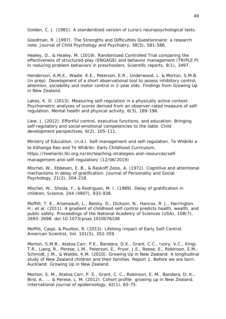Golden, C. J. (1981). A standardized version of Luria's neuropsychological tests.

Goodman, R. (1997). The Strengths and Difficulties Questionnaire: a research note. *Journal of Child Psychology and Psychiatry, 38*(5), 581-586.

Healey, D., & Healey, M. (2019). Randomized Controlled Trial comparing the effectiveness of structured-play (ENGAGE) and behavior management (TRIPLE P) in reducing problem behaviors in preschoolers. Scientific reports, 9(1), 3497.

Henderson, A.M.E., Wadie. K.E., Peterson, E.R., Underwood, L. & Morton, S,M.B. (in prep). Development of a short observational tool to assess inhibitory control, attention, sociability and motor control in 2-year olds: Findings from Growing Up in New Zealand.

Lakes, K. D. (2013). Measuring self-regulation in a physically active context: Psychometric analyses of scores derived from an observer-rated measure of selfregulation. Mental health and physical activity, 6(3), 189-196.

Liew, J. (2012). Effortful control, executive functions, and education: Bringing self-regulatory and social-emotional competencies to the table. Child development perspectives, 6(2), 105-111.

Ministry of Education. (n.d.). Self-management and self-regulation. Te Whāriki a te Kōhanga Reo and Te Whāriki: Early Childhood Curriculum. [https://tewhariki.tki.org.nz/en/teaching-strategies-and-resources/self](https://tewhariki.tki.org.nz/en/teaching-strategies-and-resources/self-management-and-self-regulation/)[management-and-self-regulation/](https://tewhariki.tki.org.nz/en/teaching-strategies-and-resources/self-management-and-self-regulation/) (12/06/2019)

Mischel, W., Ebbesen, E. B., & Raskoff Zeiss, A. (1972). Cognitive and attentional mechanisms in delay of gratification. *Journal of Personality and Social Psychology*, *21*(2), 204-218.

Mischel, W., Shoda, Y., & Rodriguez, M. I. (1989). Delay of gratification in children. *Science*, 244 (4907), 933-938.

Moffitt, T. E., Arseneault, L., Belsky, D., Dickson, N., Hancox, R. J., Harrington, H., et al. (2011). A gradient of childhood self-control predicts health, wealth, and public safety. *Proceedings of the National Academy of Sciences* (USA), 108(7), 2693–2698. doi:10.1073/pnas.1010076108

Moffitt, Caspi, & Poulton, R. (2013). Lifelong Impact of Early Self-Control. American Scientist, Vol. 101(5), 352-359.

Morton, S.M.B., Atatoa Carr, P.E., Bandara, D.K., Grant, C.C., Ivory, V.C., Kingi, T.R., Liang, R., Perese, L.M., Peterson, E., Pryor, J.E., Reese, E., Robinson, E.M., Schmidt, J.M., & Waldie, K.M. (2010). *Growing Up in New Zealand: A longitudinal study of New Zealand children and their families.* Report 1: Before we are born. Auckland: Growing Up in New Zealand.

Morton, S. M., Atatoa Carr, P. E., Grant, C. C., Robinson, E. M., Bandara, D. K., Bird, A., ... & Perese, L. M. (2012). Cohort profile: growing up in New Zealand. *International journal of epidemiology,* 42(1), 65-75.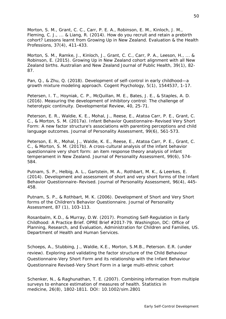Morton, S. M., Grant, C. C., Carr, P. E. A., Robinson, E. M., Kinloch, J. M., Fleming, C. J., ... & Liang, R. (2014). How do you recruit and retain a prebirth cohort? Lessons learnt from Growing Up in New Zealand. *Evaluation & the Health Professions, 37(*4), 411-433.

Morton, S. M., Ramke, J., Kinloch, J., Grant, C. C., Carr, P. A., Leeson, H., ... & Robinson, E. (2015). Growing Up in New Zealand cohort alignment with all New Zealand births. *Australian and New Zealand Journal of Public Health, 39*(1), 82- 87.

Pan, Q., & Zhu, Q. (2018). Development of self-control in early childhood—a growth mixture modeling approach. *Cogent Psychology*, 5(1), 1544537, 1-17.

Petersen, I. T., Hoyniak, C. P., McQuillan, M. E., Bates, J. E., & Staples, A. D. (2016). Measuring the development of inhibitory control: The challenge of heterotypic continuity. Developmental Review, 40, 25-71.

Peterson, E. R., Waldie, K. E., Mohal, J., Reese, E., Atatoa Carr, P. E., Grant, C. C., & Morton, S. M. (2017a). Infant Behavior Questionnaire–Revised Very Short Form: A new factor structure's associations with parenting perceptions and child language outcomes. *Journal of Personality Assessment, 99*(6), 561-573.

Peterson, E. R., Mohal, J., Waldie, K. E., Reese, E., Atatoa Carr, P. E., Grant, C. C., & Morton, S. M. (2017b). A cross-cultural analysis of the infant behavior questionnaire very short form: an item response theory analysis of infant temperament in New Zealand. *Journal of Personality Assessment*, 99(6), 574- 584.

Putnam, S. P., Helbig, A. L., Gartstein, M. A., Rothbart, M. K., & Leerkes, E. (2014). Development and assessment of short and very short forms of the Infant Behavior Questionnaire–Revised. *Journal of Personality Assessment*, 96(4), 445- 458.

Putnam, S. P., & Rothbart, M. K. (2006). Development of Short and Very Short forms of the Children's Behavior Questionnaire. *Journal of Personality Assessment*, 87 (1), 103-113.

Rosanbalm, K.D., & Murray, D.W. (2017). *Promoting Self-Regulation in Early Childhood: A Practice Brief.* OPRE Brief #2017-79. Washington, DC: Office of Planning, Research, and Evaluation, Administration for Children and Families, US. Department of Health and Human Services.

Schoeps, A., Stubbing, J., Waldie, K.E., Morton, S.M.B., Peterson. E.R. (under review). Exploring and validating the factor structure of the Child Behaviour Questionnaire-Very Short Form and its relationship with the Infant Behaviour Questionnaire Revised-Very Short Form in a large multi-ethnic cohort

Schenker, N., & Raghunathan, T. E. (2007). Combining information from multiple surveys to enhance estimation of measures of health. Statistics in medicine, 26(8), 1802-1811. DOI: 10.1002/sim.2801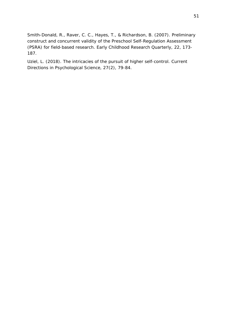Smith-Donald, R., Raver, C. C., Hayes, T., & Richardson, B. (2007). Preliminary construct and concurrent validity of the Preschool Self-Regulation Assessment (PSRA) for field-based research. Early Childhood Research Quarterly, 22, 173- 187.

Uziel, L. (2018). The intricacies of the pursuit of higher self-control. Current Directions in Psychological Science, 27(2), 79-84.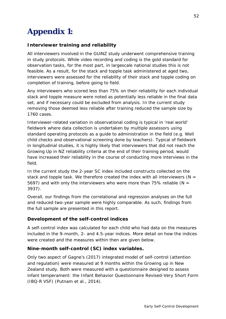# <span id="page-51-0"></span>**Appendix 1:**

#### <span id="page-51-1"></span>**Interviewer training and reliability**

All interviewers involved in the GUiNZ study underwent comprehensive training in study protocols. While video recording and coding is the gold standard for observation tasks, for the most part, in largescale national studies this is not feasible. As a result, for the stack and topple task administered at aged two, interviewers were assessed for the reliability of their stack and topple coding on completion of training, before going to field.

Any interviewers who scored less than 75% on their reliability for each individual stack and topple measure were noted as potentially less reliable in the final data set, and if necessary could be excluded from analysis. In the current study removing those deemed less reliable after training reduced the sample size by 1760 cases.

Interviewer-related variation in observational coding is typical in 'real world' fieldwork where data collection is undertaken by multiple assessors using standard operating protocols as a guide to administration in the field (e.g. Well child checks and observational screening done by teachers). Typical of fieldwork in longitudinal studies, it is highly likely that interviewers that did not reach the Growing Up in NZ reliability criteria at the end of their training period, would have increased their reliability in the course of conducting more interviews in the field.

In the current study the 2-year SC index included constructs collected on the stack and topple task. We therefore created the index with all interviewers ( $N =$ 5697) and with only the interviewers who were more than 75% reliable ( $N =$ 3937).

Overall, our findings from the correlational and regression analyses on the full and reduced two-year sample were highly comparable. As such, findings from the full sample are presented in this report.

#### <span id="page-51-2"></span>**Development of the self-control indices**

A self-control index was calculated for each child who had data on the measures included in the 9-month, 2- and 4.5-year indices. More detail on how the indices were created and the measures within then are given below.

#### *Nine-month self-control (SC) index variables.*

Only two aspect of Gagne's (2017) integrated model of self-control (attention and regulation) were measured at 9 months within the Growing up in New Zealand study. Both were measured with a questionnaire designed to assess infant temperament: the Infant Behavior Questionnaire Revised-Very Short Form (IBQ-R VSF) (Putnam et al., 2014).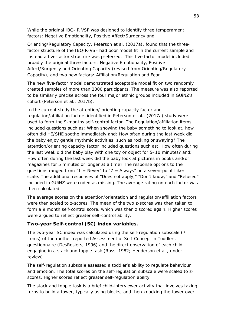While the original IBQ- R VSF was designed to identify three temperament factors: Negative Emotionality, Positive Affect/Surgency and

Orienting/Regulatory Capacity, Peterson et al. (2017a), found that the threefactor structure of the IBQ-R-VSF had poor model fit in the current sample and instead a five-factor structure was preferred. This five factor model included broadly the original three factors: Negative Emotionality, Positive Affect/Surgency and Orienting Capacity (revised from Orienting/Regulatory Capacity), and two new factors: Affiliation/Regulation and Fear.

The new five-factor model demonstrated acceptable model fit on two randomly created samples of more than 2300 participants. The measure was also reported to be similarly precise across the four major ethnic groups included in GUiNZ's cohort (Peterson et al., 2017b).

In the current study the attention/ orienting capacity factor and regulation/affiliation factors identified in Peterson et al., (2017a) study were used to form the 9-months self-control factor. The Regulation/affiliation items included questions such as: When showing the baby something to look at, how often did HE/SHE soothe immediately and; How often during the last week did the baby enjoy gentle rhythmic activities, such as rocking or swaying? The attention/orienting capacity factor included questions such as: How often during the last week did the baby play with one toy or object for 5–10 minutes? and; How often during the last week did the baby look at pictures in books and/or magazines for 5 minutes or longer at a time? The response options to the questions ranged from "1 = Never" to "7 = Always" on a seven-point Likert scale. The additional responses of "Does not apply," "Don't know," and "Refused" included in GUiNZ were coded as missing. The average rating on each factor was then calculated.

The average scores on the attention/orientation and regulation/affiliation factors were then scaled to z-scores. The mean of the two z-scores was then taken to form a 9 month self-control score, which was then z scored again. Higher scores were argued to reflect greater self-control ability.

#### *Two-year Self-control (SC) index variables.*

The two-year SC index was calculated using the self-regulation subscale (7 items) of the mother-reported Assessment of Self-Concept in Toddlers questionnaire (DesRosiers, 1996) and the direct observation of each child engaging in a stack and topple task (Ross, 1982; Henderson et al., under review).

The self-regulation subscale assessed a toddler's ability to regulate behaviour and emotion. The total scores on the self-regulation subscale were scaled to zscores. Higher scores reflect greater self-regulation ability.

The stack and topple task is a brief child-interviewer activity that involves taking turns to build a tower, typically using blocks, and then knocking the tower over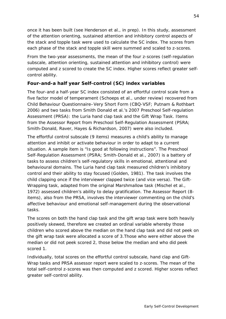once it has been built (see Henderson et al., in prep). In this study, assessment of the attention orienting, sustained attention and inhibitory control aspects of the stack and topple task were used to calculate the SC index. The scores from each phase of the stack and topple skill were summed and scaled to z-scores.

From the two-year assessments, the mean of the four z-scores (self-regulation subscale, attention orienting, sustained attention and inhibitory control) were computed and z scored to create the SC index. Higher scores reflect greater selfcontrol ability.

### *Four-and-a half year Self-control (SC) index variables*

The four-and a half-year SC index consisted of an effortful control scale from a five factor model of temperament (Schoeps et al., under review) recovered from Child Behaviour Questionnaire–Very Short Form (CBQ-VSF; Putnam & Rothbart 2006) and two tasks from Smith Donald et al.'s 2007 Preschool Self-regulation Assessment (PRSA): the Luria hand clap task and the Gift Wrap Task. Items from the Assessor Report from Preschool Self-Regulation Assessment (PSRA; Smith-Donald, Raver, Hayes & Richardson, 2007) were also included.

The effortful control subscale (9 items) measures a child's ability to manage attention and inhibit or activate behaviour in order to adapt to a current situation. A sample item is "Is good at following instructions". The Preschool Self-Regulation Assessment (PSRA; Smith-Donald et al., 2007) is a battery of tasks to assess children's self-regulatory skills in emotional, attentional and behavioural domains. The Luria hand clap task measured children's inhibitory control and their ability to stay focused (Golden, 1981). The task involves the child clapping once if the interviewer clapped twice (and vice versa). The Gift-Wrapping task, adapted from the original Marshmallow task (Mischel et al., 1972) assessed children's ability to delay gratification. The Assessor Report (8 items), also from the PRSA, involves the interviewer commenting on the child's affective behaviour and emotional self-management during the observational tasks.

The scores on both the hand clap task and the gift wrap task were both heavily positively skewed, therefore we created an ordinal variable whereby those children who scored above the median on the hand clap task and did not peek on the gift wrap task were allocated a score of 3.Those who were either above the median or did not peek scored 2, those below the median and who did peek scored 1.

Individually, total scores on the effortful control subscale, hand clap and Gift-Wrap tasks and PRSA assessor report were scaled to z-scores. The mean of the total self-control z-scores was then computed and z scored. Higher scores reflect greater self-control ability.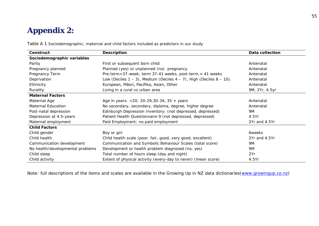# **Appendix 2:**

| Construct                        | <b>Description</b>                                                           | Data collection |
|----------------------------------|------------------------------------------------------------------------------|-----------------|
| Sociodemographic variables       |                                                                              |                 |
| Parity                           | First or subsequent born child                                               | Antenatal       |
| Pregnancy planned                | Planned (yes) or unplanned (no) pregnancy                                    | Antenatal       |
| Pregnancy Term                   | Pre-term<37-week, term 37-41 weeks, post-term, < 41 weeks                    | Antenatal       |
| Deprivation                      | Low (Deciles $1 - 3$ ), Medium (Deciles $4 - 7$ ), High (Deciles $8 - 10$ ). | Antenatal       |
| Ethnicity                        | European, Māori, Pacifika, Asian, Other                                      | Antenatal       |
| Rurality                         | Living in a rural vs urban area                                              | 9M, 2Yr, 4.5yr  |
| <b>Maternal Factors</b>          |                                                                              |                 |
| Maternal Age                     | Age in years: $<$ 20; 20-29, 30-34, 35 + years                               | Antenatal       |
| <b>Maternal Education</b>        | No secondary, secondary, diploma, degree, higher degree                      | Antenatal       |
| Post-natal depression            | Edinburgh Depression Inventory: (not depressed, depressed)                   | 9M              |
| Depression at 4.5-years          | Patient Health Questionnaire 9 (not depressed, depressed)                    | 4.5Yr           |
| Maternal employment              | Paid Employment; no paid employment                                          | 2Yr and 4.5Yr   |
| <b>Child Factors</b>             |                                                                              |                 |
| Child gender                     | Boy or girl                                                                  | 6weeks          |
| Child health                     | Child health scale (poor, fair, good, very good, excellent)                  | 2Yr and 4.5Yr   |
| Communication development        | Communication and Symbolic Behaviour Scales (total score)                    | 9M              |
| No health/developmental problems | Development or health problem diagnosed (no, yes)                            | <b>9M</b>       |
| Child sleep                      | Total number of hours sleep (day and night)                                  | 2Yr             |
| Child activity                   | Extent of physical activity (every-day to never) (mean score)                | 4.5Yr           |

Table A 1 Sociodemographic, maternal and child factors included as predictors in our study

<span id="page-54-1"></span><span id="page-54-0"></span>Note: full descriptions of the items and scales are available in the Growing Up in NZ data dictionaries[\(www.growingup.co.nz\)](http://www.growingup.co.nz/)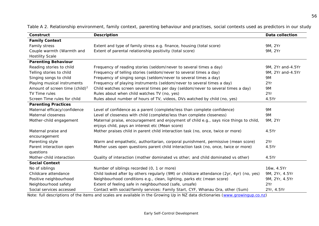| Construct                                  | <b>Description</b>                                                                       | Data collection   |
|--------------------------------------------|------------------------------------------------------------------------------------------|-------------------|
| <b>Family Context</b>                      |                                                                                          |                   |
| Family stress                              | Extent and type of family stress e.g. finance, housing (total score)                     | 9M, 2Yr           |
| Couple warmth (Warmth and                  | Extent of parental relationship positivity (total score)                                 | 9M, 2Yr           |
| <b>Hostility Scale</b>                     |                                                                                          |                   |
| <b>Parenting Behaviour</b>                 |                                                                                          |                   |
| Reading stories to child                   | Frequency of reading stories (seldom/never to several times a day)                       | 9M, 2Yr and-4.5Yr |
| Telling stories to child                   | Frequency of telling stories (seldom/never to several times a day)                       | 9M, 2Yr and-4.5Yr |
| Singing songs to child                     | Frequency of singing songs (seldom/never to several times a day)                         | 9M                |
| Playing musical instruments                | Frequency of playing instruments (seldom/never to several times a day)                   | 2Yr               |
| Amount of screen time (child) <sup>2</sup> | Child watches screen several times per day (seldom/never to several times a day)         | <b>9M</b>         |
| TV Time rules                              | Rules about when child watches TV (no, yes)                                              | 2Yr               |
| Screen Time rules for child                | Rules about number of hours of TV, videos, DVs watched by child (no, yes)                | 4.5Yr             |
| <b>Parenting Practices</b>                 |                                                                                          |                   |
| Maternal efficacy/confidence               | Level of confidence as a parent (complete/less than complete confidence)                 | <b>9M</b>         |
| Maternal closeness                         | Level of closeness with child (complete/less than complete closeness)                    | <b>9M</b>         |
| Mother-child engagement                    | Maternal praise, encouragement and enjoyment of child e.g., says nice things to child,   | 9M, 2Yr           |
|                                            | enjoys child, pays an interest etc (Mean score)                                          |                   |
| Maternal praise and                        | Mother praises child in parent child interaction task (no, once, twice or more)          | 4.5Yr             |
| encouragement                              |                                                                                          |                   |
| Parenting style                            | Warm and empathetic, authoritarian, corporal punishment, permissive (mean score)         | 2Yr               |
| Parent interaction open                    | Mother uses open questions parent child interaction task (no, once, twice or more)       | 4.5Yr             |
| questions                                  |                                                                                          |                   |
| Mother-child interaction                   | Quality of interaction (mother dominated vs other; and child dominated vs other)         | 4.5Yr             |
| <b>Social Context</b>                      |                                                                                          |                   |
| No of siblings                             | Number of siblings recorded (0, 1 or more)                                               | 16w, 4.5Yr        |
| Childcare attendance                       | Child looked after by others regularly (9M) or childcare attendance (2yr, 4yr) (no, yes) | 9M, 2Yr, 4.5Yr    |
| Positive neighbourhood                     | Neighbourhood conditions e.g., clean, lighting, parks etc (mean score)                   | 9M, 2Yr, 4.5Yr    |
| Neighbourhood safety                       | Extent of feeling safe in neighbourhood (safe, unsafe)                                   | 2Yr               |
| Social services accessed                   | Contact with social/family services: Family Start, CYF, Whanau Ora, other (Sum)          | 2Yr, 4.5Yr        |

Table A 2. Relationship environment, family context, parenting behaviour and practises, social contexts used as predictors in our study

<span id="page-55-0"></span>Note: full descriptions of the items and scales are available in the Growing Up in NZ data dictionaries [\(www.growingup.co.nz\)](http://www.growingup.co.nz/)

56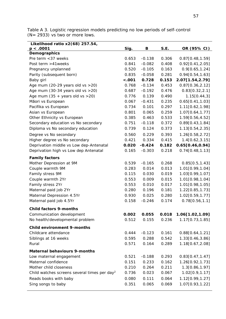| Likelihood ratio x2(68) 257.54,                          |         |          |       |                  |
|----------------------------------------------------------|---------|----------|-------|------------------|
| p < .0001                                                | Sig.    | В        | S.E.  | OR (95% CI)      |
| <b>Demographics</b>                                      |         |          |       |                  |
| Pre term < 37 weeks                                      | 0.653   | $-0.138$ | 0.306 | 0.87[0.48, 1.59] |
| Post term >41weeks                                       | 0.841   | $-0.082$ | 0.408 | 0.92[0.41, 2.05] |
| Pregnancy unplanned                                      | 0.520   | $-0.105$ | 0.163 | 0.9[0.65, 1.24]  |
| Parity (subsequent born)                                 | 0.835   | $-0.058$ | 0.281 | 0.94[0.54, 1.63] |
| Baby girl                                                | $-.001$ | 0.728    | 0.153 | 2.07[1.54,2.79]  |
| Age mum (20-29 years old vs $>20$ )                      | 0.768   | $-0.134$ | 0.453 | 0.87[0.36, 2.12] |
| Age mum (30-34 years old vs $>20$ )                      | 0.687   | $-0.192$ | 0.476 | 0.83[0.32, 2.1]  |
| Age mum $(35 + \text{years old vs } > 20)$               | 0.776   | 0.139    | 0.490 | 1.15[0.44,3]     |
| Māori vs European                                        | 0.067   | $-0.431$ | 0.235 | 0.65[0.41, 1.03] |
| Pacifika vs European                                     | 0.734   | 0.101    | 0.297 | 1.11[0.62,1.98]  |
| Asian vs European                                        | 0.801   | 0.065    | 0.259 | 1.07[0.64,1.77]  |
| Other Ethnicity vs European                              | 0.385   | 0.463    | 0.533 | 1.59[0.56,4.52]  |
| Secondary education vs No secondary                      | 0.751   | $-0.118$ | 0.372 | 0.89[0.43, 1.84] |
| Diploma vs No secondary education                        | 0.739   | 0.124    | 0.373 | 1.13[0.54, 2.35] |
| Degree vs No secondary                                   | 0.560   | 0.229    | 0.393 | 1.26[0.58,2.72]  |
| Higher degree vs No secondary                            | 0.421   | 0.334    | 0.415 | 1.4[0.62, 3.15]  |
| Deprivation middle vs Low dep-Antenatal                  | 0.020   | $-0.424$ | 0.182 | 0.65[0.46, 0.94] |
| Deprivation high vs Low dep Antenatal                    | 0.165   | $-0.303$ | 0.218 | 0.74[0.48, 1.13] |
| <b>Family factors</b>                                    |         |          |       |                  |
| Mother Depression at 9M                                  | 0.539   | $-0.165$ | 0.268 | 0.85[0.5, 1.43]  |
| Couple warmth 9M                                         | 0.283   | 0.014    | 0.013 | 1.01[0.99,1.04]  |
| Family stress 9M                                         | 0.115   | 0.030    | 0.019 | 1.03[0.99,1.07]  |
| Couple warmth 2Yr                                        | 0.553   | 0.009    | 0.015 | 1.01[0.98,1.04]  |
| Family stress 2Yr                                        | 0.553   | 0.010    | 0.017 | 1.01[0.98,1.05]  |
| Maternal paid job 2Yr                                    | 0.280   | 0.196    | 0.181 | 1.22[0.85,1.73]  |
| Maternal Depression 4.5Yr                                | 0.930   | 0.025    | 0.280 | 1.02[0.59, 1.77] |
| Maternal paid job 4.5Yr                                  | 0.158   | $-0.246$ | 0.174 | 0.78[0.56, 1.1]  |
|                                                          |         |          |       |                  |
| <b>Child factors 9-months</b>                            |         |          |       |                  |
| Communication development                                | 0.002   | 0.055    | 0.018 | 1.06[1.02,1.09]  |
| No health/developmental problem                          | 0.512   | 0.155    | 0.236 | 1.17[0.73,1.85]  |
| <b>Child environment 9-months</b>                        |         |          |       |                  |
| Childcare attendance                                     | 0.444   | $-0.123$ | 0.161 | 0.88[0.64, 1.21] |
| Siblings at 16 weeks                                     | 0.595   | 0.288    | 0.542 | 1.33[0.46,3.86]  |
| Rural                                                    | 0.571   | 0.164    | 0.289 | 1.18[0.67,2.08]  |
| <b>Maternal behaviours 9-months</b>                      |         |          |       |                  |
| Low maternal engagement                                  | 0.521   | $-0.188$ | 0.293 | 0.83[0.47, 1.47] |
| Maternal confidence                                      | 0.151   | 0.233    | 0.162 | 1.26[0.92,1.73]  |
| Mother child closeness                                   | 0.210   | 0.264    | 0.211 | 1.3[0.86,1.97]   |
| Child watches screens several times per day <sup>2</sup> | 0.736   | 0.023    | 0.067 | 1.02[0.9, 1.17]  |
| Reads books with baby                                    | 0.080   | 0.111    | 0.064 | 1.12[0.99,1.27]  |
| Sing songs to baby                                       | 0.351   | 0.065    | 0.069 | 1.07[0.93,1.22]  |
|                                                          |         |          |       |                  |

<span id="page-56-0"></span>Table A 3. Logistic regression models predicting no low periods of self-control (N= 2933) vs two or more lows.